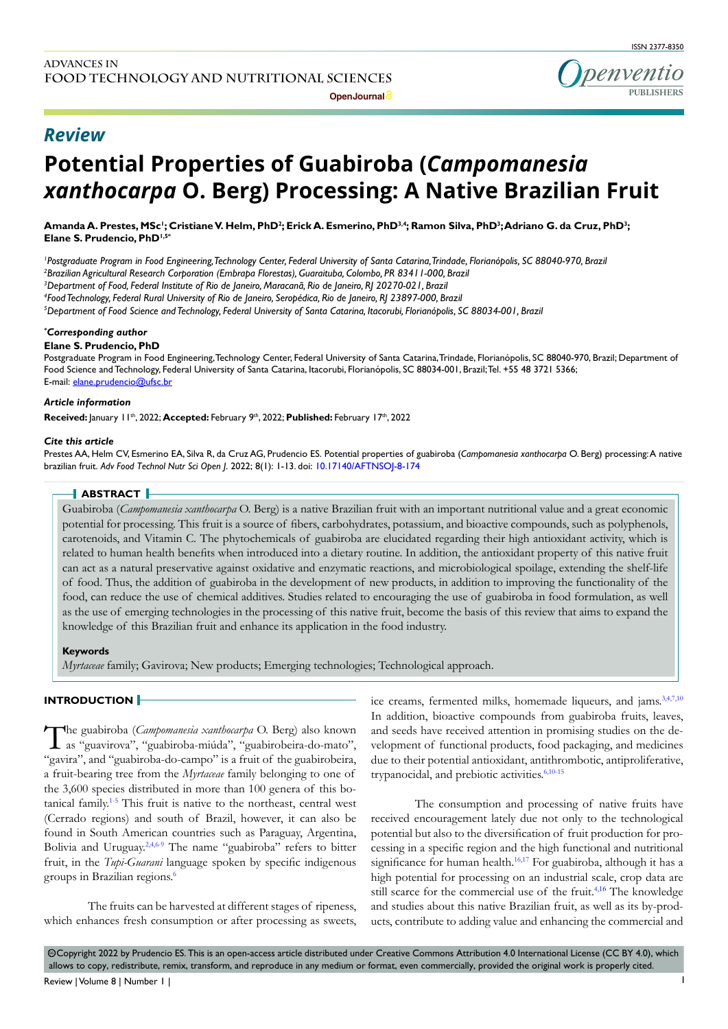penventic **PUBLISHERS**

**Open Journal**

# *Review*

# **Potential Properties of Guabiroba (***Campomanesia xanthocarpa* **O. Berg) Processing: A Native Brazilian Fruit**

Amanda A. Prestes, MSc'; Cristiane V. Helm, PhD<sup>2</sup>; Erick A. Esmerino, PhD<sup>3,4</sup>; Ramon Silva, PhD<sup>3</sup>; Adriano G. da Cruz, PhD<sup>3</sup>; **Elane S. Prudencio, PhD1,5\***

 *Postgraduate Program in Food Engineering, Technology Center, Federal University of Santa Catarina, Trindade, Florianópolis, SC 88040-970, Brazil Brazilian Agricultural Research Corporation (Embrapa Florestas), Guaraituba, Colombo, PR 83411-000, Brazil Department of Food, Federal Institute of Rio de Janeiro, Maracanã, Rio de Janeiro, RJ 20270-021, Brazil Food Technology, Federal Rural University of Rio de Janeiro, Seropédica, Rio de Janeiro, RJ 23897-000, Brazil*

*5 Department of Food Science and Technology, Federal University of Santa Catarina, Itacorubi, Florianópolis, SC 88034-001, Brazil*

#### *\* Corresponding author*

#### **Elane S. Prudencio, PhD**

Postgraduate Program in Food Engineering, Technology Center, Federal University of Santa Catarina, Trindade, Florianópolis, SC 88040-970, Brazil; Department of Food Science and Technology, Federal University of Santa Catarina, Itacorubi, Florianópolis, SC 88034-001, Brazil; Tel. +55 48 3721 5366; E-mail: elane.prudencio@ufsc.br

#### *Article information*

Received: January 11<sup>th</sup>, 2022; Accepted: February 9<sup>th</sup>, 2022; Published: February 17<sup>th</sup>, 2022

#### *Cite this article*

Prestes AA, Helm CV, Esmerino EA, Silva R, da Cruz AG, Prudencio ES. Potential properties of guabiroba (*Campomanesia xanthocarpa* O. Berg) processing: A native brazilian fruit. *Adv Food Technol Nutr Sci Open J*. 2022; 8(1): 1-13. doi: [10.17140/AFTNSOJ-8-174](http://dx.doi.org/10.17140/AFTNSOJ-8-174)

#### **ABSTRACT**

Guabiroba (*Campomanesia xanthocarpa* O. Berg) is a native Brazilian fruit with an important nutritional value and a great economic potential for processing. This fruit is a source of fibers, carbohydrates, potassium, and bioactive compounds, such as polyphenols, carotenoids, and Vitamin C. The phytochemicals of guabiroba are elucidated regarding their high antioxidant activity, which is related to human health benefits when introduced into a dietary routine. In addition, the antioxidant property of this native fruit can act as a natural preservative against oxidative and enzymatic reactions, and microbiological spoilage, extending the shelf-life of food. Thus, the addition of guabiroba in the development of new products, in addition to improving the functionality of the food, can reduce the use of chemical additives. Studies related to encouraging the use of guabiroba in food formulation, as well as the use of emerging technologies in the processing of this native fruit, become the basis of this review that aims to expand the knowledge of this Brazilian fruit and enhance its application in the food industry.

#### **Keywords**

*Myrtaceae* family; Gavirova; New products; Emerging technologies; Technological approach.

### **INTRODUCTION**

The guabiroba (*Campomanesia xanthocarpa* O. Berg) also known as "guavirova", "guabiroba-miúda", "guabirobeira-do-mato", "gavira", and "guabiroba-do-campo" is a fruit of the guabirobeira, a fruit-bearing tree from the *Myrtaceae* family belonging to one of the 3,600 species distributed in more than 100 genera of this botanical family[.1-5](#page-8-0) This fruit is native to the northeast, central west (Cerrado regions) and south of Brazil, however, it can also be found in South American countries such as Paraguay, Argentina, Bolivia and Uruguay.[2,](#page-8-1)[4,](#page-8-2)[6-9](#page-9-0) The name "guabiroba" refers to bitter fruit, in the *Tupi-Guarani* language spoken by specific indigenous groups in Brazilian regions.[6](#page-9-0)

The fruits can be harvested at different stages of ripeness, which enhances fresh consumption or after processing as sweets, ice creams, fermented milks, homemade liqueurs, and jams.<sup>3,4,[7,](#page-9-1)[10](#page-9-2)</sup> In addition, bioactive compounds from guabiroba fruits, leaves, and seeds have received attention in promising studies on the development of functional products, food packaging, and medicines due to their potential antioxidant, antithrombotic, antiproliferative, trypanocidal, and prebiotic activities.<sup>[6,](#page-9-0)[10-15](#page-9-2)</sup>

The consumption and processing of native fruits have received encouragement lately due not only to the technological potential but also to the diversification of fruit production for processing in a specific region and the high functional and nutritional significance for human health.<sup>16,17</sup> For guabiroba, although it has a high potential for processing on an industrial scale, crop data are still scarce for the commercial use of the fruit. $4,16$  $4,16$  The knowledge and studies about this native Brazilian fruit, as well as its by-products, contribute to adding value and enhancing the commercial and

 $\circledcirc$ Copyright 2022 by Prudencio ES. This is an open-access article distributed under Creative Commons Attribution 4.0 International License (CC BY 4.0), which allows to copy, redistribute, remix, transform, and reproduce in any medium or format, even commercially, provided the original work is properly cited.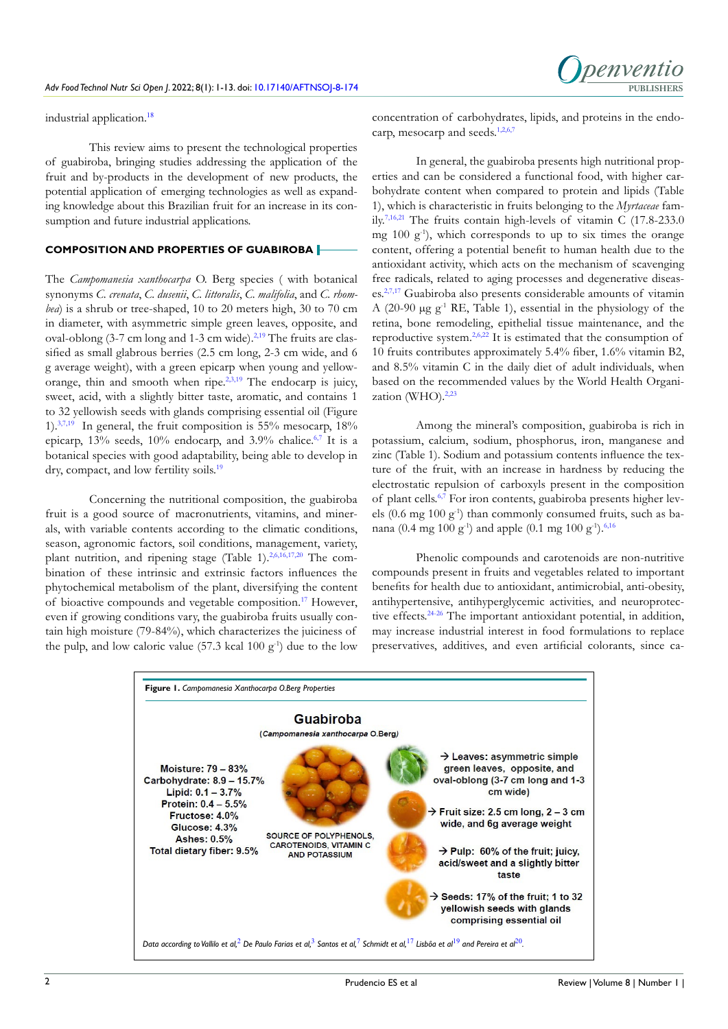industrial application.<sup>[18](#page-9-4)</sup>

This review aims to present the technological properties of guabiroba, bringing studies addressing the application of the fruit and by-products in the development of new products, the potential application of emerging technologies as well as expanding knowledge about this Brazilian fruit for an increase in its consumption and future industrial applications.

# **COMPOSITION AND PROPERTIES OF GUABIROBA**

The *Campomanesia xanthocarpa* O. Berg species ( with botanical synonyms *C. crenata*, *C. dusenii*, *C. littoralis*, *C. malifolia*, and *C. rhombea*) is a shrub or tree-shaped, 10 to 20 meters high, 30 to 70 cm in diameter, with asymmetric simple green leaves, opposite, and oval-oblong  $(3-7 \text{ cm} \log \text{ and } 1-3 \text{ cm} \text{ wide})$ .<sup>[2,](#page-8-1)[19](#page-9-5)</sup> The fruits are classified as small glabrous berries (2.5 cm long, 2-3 cm wide, and 6 g average weight), with a green epicarp when young and yellow-orange, thin and smooth when ripe.<sup>[2,3,](#page-8-1)[19](#page-9-5)</sup> The endocarp is juicy, sweet, acid, with a slightly bitter taste, aromatic, and contains 1 to 32 yellowish seeds with glands comprising essential oil (Figure 1). $37,19$  $37,19$  $37,19$  In general, the fruit composition is 55% mesocarp, 18% epicarp,  $13\%$  seeds,  $10\%$  endocarp, and  $3.9\%$  chalice.<sup>6,7</sup> It is a botanical species with good adaptability, being able to develop in dry, compact, and low fertility soils.<sup>[19](#page-9-5)</sup>

Concerning the nutritional composition, the guabiroba fruit is a good source of macronutrients, vitamins, and minerals, with variable contents according to the climatic conditions, season, agronomic factors, soil conditions, management, variety, plant nutrition, and ripening stage (Table 1).<sup>2,[6,](#page-9-0)[16,17,](#page-9-3)20</sup> The combination of these intrinsic and extrinsic factors influences the phytochemical metabolism of the plant, diversifying the content of bioactive compounds and vegetable composition[.17](#page-9-7) However, even if growing conditions vary, the guabiroba fruits usually contain high moisture (79-84%), which characterizes the juiciness of the pulp, and low caloric value (57.3 kcal 100  $g^{-1}$ ) due to the low

concentration of carbohydrates, lipids, and proteins in the endocarp, mesocarp and seeds[.1,2,](#page-8-0)[6,7](#page-9-0)

In general, the guabiroba presents high nutritional properties and can be considered a functional food, with higher carbohydrate content when compared to protein and lipids (Table 1), which is characteristic in fruits belonging to the *Myrtaceae* fam-ily.<sup>[7,](#page-9-1)[16,](#page-9-3)[21](#page-9-8)</sup> The fruits contain high-levels of vitamin C (17.8-233.0) mg  $100 \text{ g}^{-1}$ ), which corresponds to up to six times the orange content, offering a potential benefit to human health due to the antioxidant activity, which acts on the mechanism of scavenging free radicals, related to aging processes and degenerative diseases[.2,](#page-8-1)[7,](#page-9-1)[17](#page-9-7) Guabiroba also presents considerable amounts of vitamin A (20-90  $\mu$ g g<sup>-1</sup> RE, Table 1), essential in the physiology of the retina, bone remodeling, epithelial tissue maintenance, and the reproductive system.<sup>2,[6,](#page-9-0)22</sup> It is estimated that the consumption of 10 fruits contributes approximately 5.4% fiber, 1.6% vitamin B2, and 8.5% vitamin C in the daily diet of adult individuals, when based on the recommended values by the World Health Organization (WHO). $2,23$  $2,23$ 

Among the mineral's composition, guabiroba is rich in potassium, calcium, sodium, phosphorus, iron, manganese and zinc (Table 1). Sodium and potassium contents influence the texture of the fruit, with an increase in hardness by reducing the electrostatic repulsion of carboxyls present in the composition of plant cells.[6,7](#page-9-0) For iron contents, guabiroba presents higher levels (0.6 mg 100  $g^{-1}$ ) than commonly consumed fruits, such as ba-nana (0.4 mg 100 g<sup>-1</sup>) and apple (0.1 mg 100 g<sup>-1</sup>).<sup>[6,](#page-9-0)[16](#page-9-3)</sup>

Phenolic compounds and carotenoids are non-nutritive compounds present in fruits and vegetables related to important benefits for health due to antioxidant, antimicrobial, anti-obesity, antihypertensive, antihyperglycemic activities, and neuroprotective effects.<sup>24-26</sup> The important antioxidant potential, in addition, may increase industrial interest in food formulations to replace preservatives, additives, and even artificial colorants, since ca-

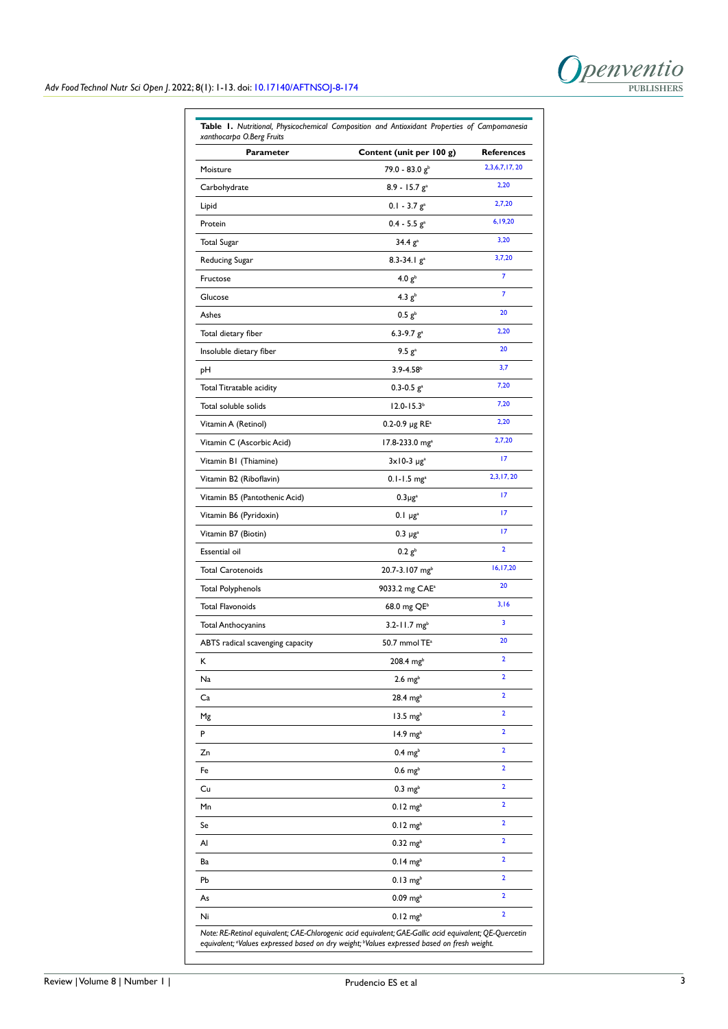**Openventio** 

| Parameter                        | Content (unit per 100 g)          | <b>References</b>       |
|----------------------------------|-----------------------------------|-------------------------|
| Moisture                         | 79.0 - 83.0 g <sup>b</sup>        | 2, 3, 6, 7, 17, 20      |
| Carbohydrate                     | $8.9 - 15.7$ $ga$                 | 2,20                    |
| Lipid                            | $0.1 - 3.7 ga$                    | 2,7,20                  |
| Protein                          | $0.4 - 5.5$ $ga$                  | 6,19,20                 |
| Total Sugar                      | 34.4 g <sup>a</sup>               | 3,20                    |
| Reducing Sugar                   | $8.3 - 34.1 ga$                   | 3,7,20                  |
| Fructose                         | 4.0 $g^b$                         | 7                       |
| Glucose                          | 4.3 $g^b$                         | 7                       |
| Ashes                            | 0.5 g <sup>b</sup>                | 20                      |
| Total dietary fiber              | 6.3-9.7 $g^a$                     | 2,20                    |
| Insoluble dietary fiber          | 9.5 g <sup>a</sup>                | 20                      |
| pН                               | $3.9 - 4.58$ <sup>b</sup>         | 3,7                     |
| <b>Total Titratable acidity</b>  | $0.3 - 0.5$ $ga$                  | 7,20                    |
| Total soluble solids             | $12.0 - 15.3b$                    | 7,20                    |
| Vitamin A (Retinol)              | $0.2 - 0.9$ µg RE <sup>a</sup>    | 2,20                    |
| Vitamin C (Ascorbic Acid)        | 17.8-233.0 mg <sup>a</sup>        | 2,7,20                  |
| Vitamin BI (Thiamine)            | $3 \times 10 - 3 \mu g^2$         | 17                      |
| Vitamin B2 (Riboflavin)          | $0.1 - 1.5$ mg <sup>a</sup>       | 2,3,17,20               |
| Vitamin B5 (Pantothenic Acid)    | $0.3 \mu g^2$                     | 17                      |
| Vitamin B6 (Pyridoxin)           | $0.1 \mu g^a$                     | 17                      |
| Vitamin B7 (Biotin)              | $0.3 \mu g^{a}$                   | 17                      |
| Essential oil                    | 0.2 g <sup>b</sup>                | $\overline{\mathbf{2}}$ |
| <b>Total Carotenoids</b>         | 20.7-3.107 mgb                    | 16,17,20                |
| <b>Total Polyphenols</b>         | 9033.2 mg CAE <sup>a</sup>        | 20                      |
| <b>Total Flavonoids</b>          | $68.0 \text{ mg}$ QE <sup>b</sup> | 3,16                    |
| <b>Total Anthocyanins</b>        | $3.2 - 11.7$ mg <sup>b</sup>      | 3                       |
| ABTS radical scavenging capacity | 50.7 mmol TE <sup>a</sup>         | 20                      |
| Κ                                | $208.4 \text{ mg}^b$              | 2                       |
| Na                               | $2.6 \text{ mg}^b$                | $\overline{\mathbf{2}}$ |
| Ca                               | $28.4 \text{ mg}^b$               | $\overline{\mathbf{2}}$ |
| Mg                               | $13.5 \text{ mg}^b$               | $\overline{\mathbf{2}}$ |
| P                                | $14.9$ mg <sup>b</sup>            | $\overline{\mathbf{2}}$ |
| Zn                               | $0.4 \text{ mg}^b$                | 2                       |
| Fe                               | $0.6 \text{ mg}^{\text{b}}$       | $\overline{\mathbf{2}}$ |
| Cu                               | $0.3 \text{ mg}^{\text{b}}$       | $\overline{\mathbf{2}}$ |
| Mn                               | $0.12 \text{ mg}^b$               | $\overline{\mathbf{2}}$ |
| Se                               | $0.12 \text{ mg}^b$               | $\overline{\mathbf{2}}$ |
| Al                               | $0.32 \text{ mg}^{\text{b}}$      | $\overline{2}$          |
| Ba                               | $0.14$ mg <sup>b</sup>            | $\overline{2}$          |
| Рb                               | $0.13 \text{ mg}^{\text{b}}$      | $\overline{2}$          |
| As                               | $0.09 \; mg^{b}$                  | 2                       |
| Ni                               | $0.12 \text{ mg}^b$               | $\overline{2}$          |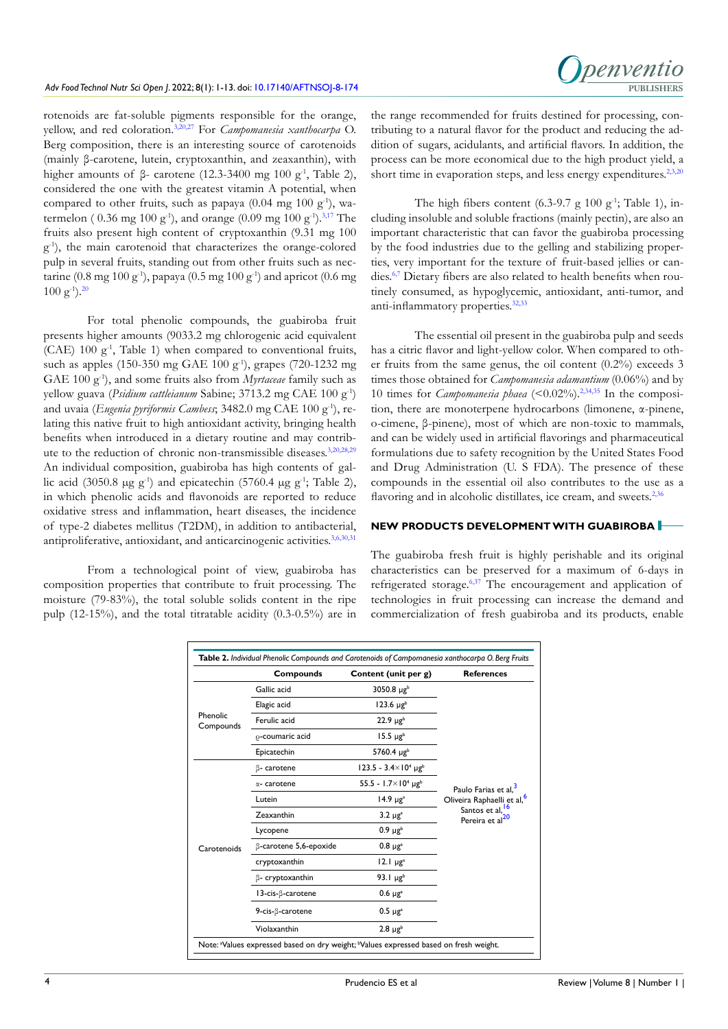

rotenoids are fat-soluble pigments responsible for the orange, yellow, and red coloration[.3,](#page-8-3)[20,](#page-9-6)[27](#page-9-12) For *Campomanesia xanthocarpa* O. Berg composition, there is an interesting source of carotenoids (mainly β-carotene, lutein, cryptoxanthin, and zeaxanthin), with higher amounts of β- carotene (12.3-3400 mg 100 g<sup>-1</sup>, Table 2), considered the one with the greatest vitamin A potential, when compared to other fruits, such as papaya (0.04 mg 100 g<sup>-1</sup>), watermelon (  $0.36$  mg  $100$  g<sup>-1</sup>), and orange (0.09 mg  $100$  g<sup>-1</sup>).<sup>3,17</sup> The fruits also present high content of cryptoxanthin (9.31 mg 100 g-1), the main carotenoid that characterizes the orange-colored pulp in several fruits, standing out from other fruits such as nectarine (0.8 mg 100 g<sup>-1</sup>), papaya (0.5 mg 100 g<sup>-1</sup>) and apricot (0.6 mg  $100 \text{ g}^{-1}$ .  $20$ 

For total phenolic compounds, the guabiroba fruit presents higher amounts (9033.2 mg chlorogenic acid equivalent (CAE) 100  $g<sup>-1</sup>$ , Table 1) when compared to conventional fruits, such as apples (150-350 mg GAE 100 g<sup>-1</sup>), grapes (720-1232 mg GAE 100 g<sup>-1</sup>), and some fruits also from *Myrtaceae* family such as yellow guava (*Psidium cattleianum* Sabine; 3713.2 mg CAE 100 g-1) and uvaia (*Eugenia pyriformis Cambess*; 3482.0 mg CAE 100 g<sup>-1</sup>), relating this native fruit to high antioxidant activity, bringing health benefits when introduced in a dietary routine and may contribute to the reduction of chronic non-transmissible diseases.[3,](#page-8-3)[20,](#page-9-6)[28,29](#page-10-0) An individual composition, guabiroba has high contents of gallic acid (3050.8  $\mu$ g g<sup>-1</sup>) and epicatechin (5760.4  $\mu$ g g<sup>-1</sup>; Table 2), in which phenolic acids and flavonoids are reported to reduce oxidative stress and inflammation, heart diseases, the incidence of type-2 diabetes mellitus (T2DM), in addition to antibacterial, antiproliferative, antioxidant, and anticarcinogenic activities.[3,](#page-8-3)[6,](#page-9-0)[30,31](#page-10-1)

From a technological point of view, guabiroba has composition properties that contribute to fruit processing. The moisture (79-83%), the total soluble solids content in the ripe pulp (12-15%), and the total titratable acidity (0.3-0.5%) are in the range recommended for fruits destined for processing, contributing to a natural flavor for the product and reducing the addition of sugars, acidulants, and artificial flavors. In addition, the process can be more economical due to the high product yield, a short time in evaporation steps, and less energy expenditures.<sup>2,3,[20](#page-9-6)</sup>

The high fibers content (6.3-9.7 g 100  $g^{-1}$ ; Table 1), including insoluble and soluble fractions (mainly pectin), are also an important characteristic that can favor the guabiroba processing by the food industries due to the gelling and stabilizing properties, very important for the texture of fruit-based jellies or candies.[6,7](#page-9-0) Dietary fibers are also related to health benefits when routinely consumed, as hypoglycemic, antioxidant, anti-tumor, and anti-inflammatory properties.[32,33](#page-10-2)

The essential oil present in the guabiroba pulp and seeds has a citric flavor and light-yellow color. When compared to other fruits from the same genus, the oil content (0.2%) exceeds 3 times those obtained for *Campomanesia adamantium* (0.06%) and by 10 times for *Campomanesia phaea* (<0.02%).<sup>2,34,35</sup> In the composition, there are monoterpene hydrocarbons (limonene, α-pinene, o-cimene, β-pinene), most of which are non-toxic to mammals, and can be widely used in artificial flavorings and pharmaceutical formulations due to safety recognition by the United States Food and Drug Administration (U. S FDA). The presence of these compounds in the essential oil also contributes to the use as a flavoring and in alcoholic distillates, ice cream, and sweets.<sup>[2,](#page-8-1)[36](#page-10-4)</sup>

#### **NEW PRODUCTS DEVELOPMENT WITH GUABIROBA**

The guabiroba fresh fruit is highly perishable and its original characteristics can be preserved for a maximum of 6-days in refrigerated storage.[6,](#page-9-0)[37](#page-10-5) The encouragement and application of technologies in fruit processing can increase the demand and commercialization of fresh guabiroba and its products, enable

|                       | <b>Compounds</b>       | Content (unit per g)                      | <b>References</b>                                                                                                                        |
|-----------------------|------------------------|-------------------------------------------|------------------------------------------------------------------------------------------------------------------------------------------|
| Phenolic<br>Compounds | Gallic acid            | 3050.8 $\mu$ g <sup>b</sup>               | Paulo Farias et al, <sup>3</sup><br>Oliveira Raphaelli et al, <sup>6</sup><br>Santos et al, <sup>16</sup><br>Pereira et al <sup>20</sup> |
|                       | Elagic acid            | 123.6 $\mu$ g <sup>b</sup>                |                                                                                                                                          |
|                       | Ferulic acid           | $22.9 \mu g^{b}$                          |                                                                                                                                          |
|                       | o-coumaric acid        | $15.5 \mu g^b$                            |                                                                                                                                          |
|                       | Epicatechin            | 5760.4 µgb                                |                                                                                                                                          |
| Carotenoids           | ß- carotene            | $123.5 - 3.4 \times 10^4$ µg <sup>b</sup> |                                                                                                                                          |
|                       | α- carotene            | 55.5 - $1.7 \times 10^4$ µg <sup>b</sup>  |                                                                                                                                          |
|                       | Lutein                 | 14.9 $\mu$ g <sup>a</sup>                 |                                                                                                                                          |
|                       | Zeaxanthin             | $3.2 \mu g^2$                             |                                                                                                                                          |
|                       | Lycopene               | $0.9 \mu g^b$                             |                                                                                                                                          |
|                       | β-carotene 5,6-epoxide | $0.8 \mu g$ <sup>a</sup>                  |                                                                                                                                          |
|                       | cryptoxanthin          | $12.1 \mu g^2$                            |                                                                                                                                          |
|                       | β- cryptoxanthin       | 93. $1 \mu g^b$                           |                                                                                                                                          |
|                       | 13-cis-ß-carotene      | $0.6 \mu g^2$                             |                                                                                                                                          |
|                       | 9-cis-ß-carotene       | $0.5 \mu g^{a}$                           |                                                                                                                                          |
|                       | Violaxanthin           | $2.8 \mu g^b$                             |                                                                                                                                          |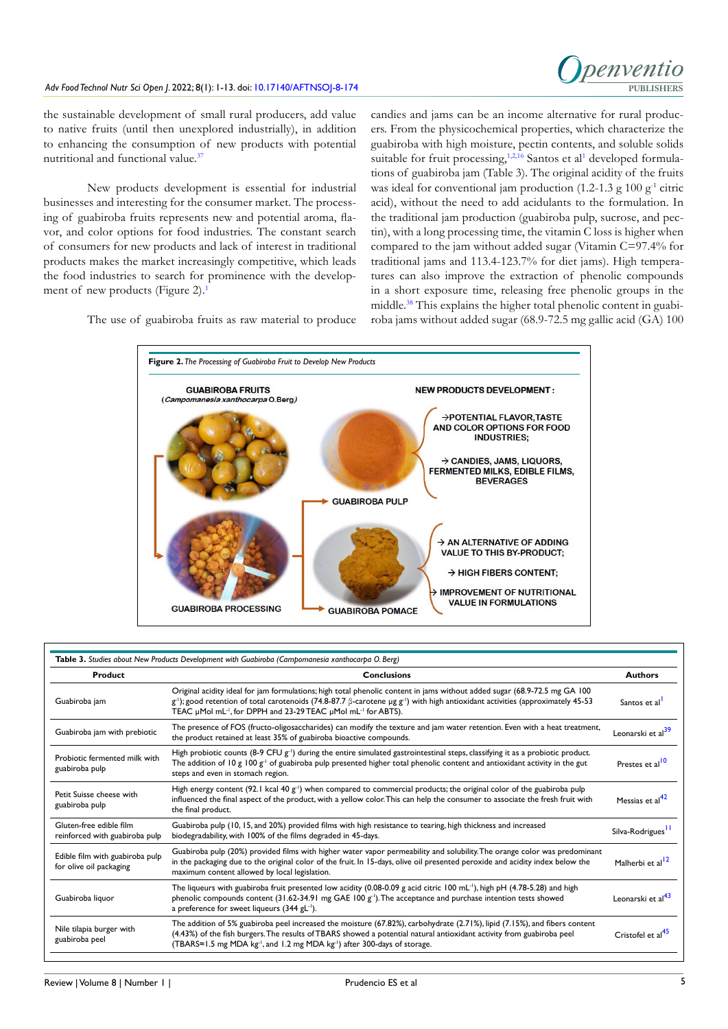

the sustainable development of small rural producers, add value to native fruits (until then unexplored industrially), in addition to enhancing the consumption of new products with potential nutritional and functional value[.37](#page-10-5)

New products development is essential for industrial businesses and interesting for the consumer market. The processing of guabiroba fruits represents new and potential aroma, flavor, and color options for food industries. The constant search of consumers for new products and lack of interest in traditional products makes the market increasingly competitive, which leads the food industries to search for prominence with the develop-ment of new products (Figure 2).<sup>[1](#page-8-0)</sup>

The use of guabiroba fruits as raw material to produce

candies and jams can be an income alternative for rural producers. From the physicochemical properties, which characterize the guabiroba with high moisture, pectin contents, and soluble solids suitable for fruit processing,<sup>[1,2,](#page-8-0)16</sup> Santos et al<sup>1</sup> developed formulations of guabiroba jam (Table 3). The original acidity of the fruits was ideal for conventional jam production (1.2-1.3 g  $100 \text{ g}^{-1}$  citric acid), without the need to add acidulants to the formulation. In the traditional jam production (guabiroba pulp, sucrose, and pectin), with a long processing time, the vitamin C loss is higher when compared to the jam without added sugar (Vitamin C=97.4% for traditional jams and 113.4-123.7% for diet jams). High temperatures can also improve the extraction of phenolic compounds in a short exposure time, releasing free phenolic groups in the middle[.38](#page-10-6) This explains the higher total phenolic content in guabiroba jams without added sugar (68.9-72.5 mg gallic acid (GA) 100

**Figure 2.** *The Processing of Guabiroba Fruit to Develop New Products* **GUABIROBA FRUITS NEW PRODUCTS DEVELOPMENT:** (Campomanesia xanthocarpa O.Berg) ->POTENTIAL FLAVOR.TASTE AND COLOR OPTIONS FOR FOOD **INDUSTRIES:**  $\rightarrow$  CANDIES, JAMS, LIQUORS, FERMENTED MILKS, EDIBLE FILMS, **BEVERAGES GUABIROBA PULP** AN ALTERNATIVE OF ADDING **VALUE TO THIS BY-PRODUCT;** > HIGH FIBERS CONTENT: **IMPROVEMENT OF NUTRITIONAL VALUE IN FORMULATIONS GUABIROBA PROCESSING GUABIROBA POMACE** 

| Product                                                    | <b>Conclusions</b>                                                                                                                                                                                                                                                                                                                                                        | <b>Authors</b>                |
|------------------------------------------------------------|---------------------------------------------------------------------------------------------------------------------------------------------------------------------------------------------------------------------------------------------------------------------------------------------------------------------------------------------------------------------------|-------------------------------|
| Guabiroba jam                                              | Original acidity ideal for jam formulations; high total phenolic content in jams without added sugar (68.9-72.5 mg GA 100<br>$g'$ ); good retention of total carotenoids (74.8-87.7 $\beta$ -carotene µg g <sup>-1</sup> ) with high antioxidant activities (approximately 45-53<br>TEAC µMol mL <sup>-1</sup> , for DPPH and 23-29 TEAC µMol mL <sup>-1</sup> for ABTS). | Santos et al                  |
| Guabiroba jam with prebiotic                               | The presence of FOS (fructo-oligosaccharides) can modify the texture and jam water retention. Even with a heat treatment,<br>the product retained at least 35% of guabiroba bioactive compounds.                                                                                                                                                                          | Leonarski et al <sup>39</sup> |
| Probiotic fermented milk with<br>guabiroba pulp            | High probiotic counts (8-9 CFU $g-1$ ) during the entire simulated gastrointestinal steps, classifying it as a probiotic product.<br>The addition of 10 g 100 $g-1$ of guabiroba pulp presented higher total phenolic content and antioxidant activity in the gut<br>steps and even in stomach region.                                                                    | Prestes et al <sup>10</sup>   |
| Petit Suisse cheese with<br>guabiroba pulp                 | High energy content (92.1 kcal 40 $g'$ ) when compared to commercial products; the original color of the guabiroba pulp<br>influenced the final aspect of the product, with a yellow color. This can help the consumer to associate the fresh fruit with<br>the final product.                                                                                            | Messias et al <sup>42</sup>   |
| Gluten-free edible film<br>reinforced with guabiroba pulp  | Guabiroba pulp (10, 15, and 20%) provided films with high resistance to tearing, high thickness and increased<br>biodegradability, with 100% of the films degraded in 45-days.                                                                                                                                                                                            | Silva-Rodrigues <sup>11</sup> |
| Edible film with guabiroba pulp<br>for olive oil packaging | Guabiroba pulp (20%) provided films with higher water vapor permeability and solubility. The orange color was predominant<br>in the packaging due to the original color of the fruit. In 15-days, olive oil presented peroxide and acidity index below the<br>maximum content allowed by local legislation.                                                               | Malherbi et al <sup>12</sup>  |
| Guabiroba liquor                                           | The liqueurs with guabiroba fruit presented low acidity (0.08-0.09 g acid citric 100 mL <sup>-1</sup> ), high pH (4.78-5.28) and high<br>phenolic compounds content (31.62-34.91 mg GAE 100 $g^{-1}$ ). The acceptance and purchase intention tests showed<br>a preference for sweet liqueurs (344 gL <sup>-1</sup> ).                                                    | Leonarski et al <sup>43</sup> |
| Nile tilapia burger with<br>guabiroba peel                 | The addition of 5% guabiroba peel increased the moisture (67.82%), carbohydrate (2.71%), lipid (7.15%), and fibers content<br>(4.43%) of the fish burgers. The results of TBARS showed a potential natural antioxidant activity from guabiroba peel<br>(TBARS≈1.5 mg MDA kg <sup>-1</sup> , and 1.2 mg MDA kg <sup>-1</sup> ) after 300-days of storage.                  | Cristofel et al <sup>45</sup> |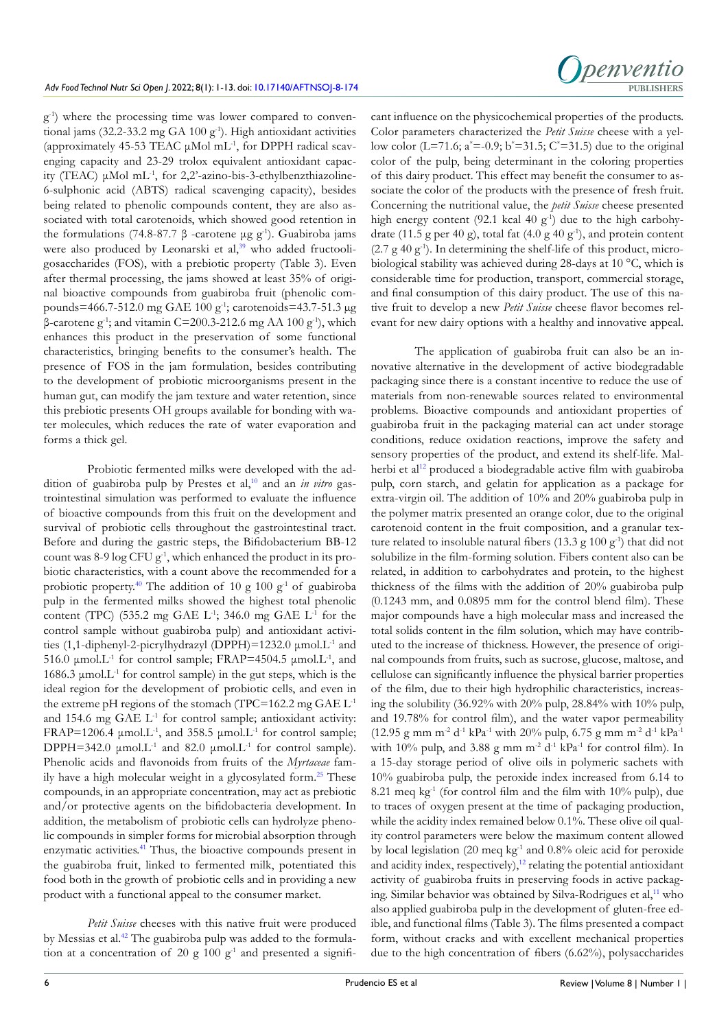g-1) where the processing time was lower compared to conventional jams (32.2-33.2 mg GA 100  $g<sup>-1</sup>$ ). High antioxidant activities (approximately 45-53 TEAC  $\mu$ Mol mL<sup>-1</sup>, for DPPH radical scavenging capacity and 23-29 trolox equivalent antioxidant capacity (TEAC) μMol mL-1, for 2,2'-azino-bis-3-ethylbenzthiazoline-6-sulphonic acid (ABTS) radical scavenging capacity), besides being related to phenolic compounds content, they are also associated with total carotenoids, which showed good retention in the formulations (74.8-87.7 β -carotene μg g<sup>-1</sup>). Guabiroba jams were also produced by Leonarski et al,<sup>39</sup> who added fructooligosaccharides (FOS), with a prebiotic property (Table 3). Even after thermal processing, the jams showed at least 35% of original bioactive compounds from guabiroba fruit (phenolic compounds=466.7-512.0 mg GAE 100 g-1; carotenoids=43.7-51.3 µg  $β$ -carotene g<sup>-1</sup>; and vitamin C=200.3-212.6 mg AA 100 g<sup>-1</sup>), which enhances this product in the preservation of some functional characteristics, bringing benefits to the consumer's health. The presence of FOS in the jam formulation, besides contributing to the development of probiotic microorganisms present in the human gut, can modify the jam texture and water retention, since this prebiotic presents OH groups available for bonding with water molecules, which reduces the rate of water evaporation and forms a thick gel.

Probiotic fermented milks were developed with the addition of guabiroba pulp by Prestes et al,<sup>10</sup> and an *in vitro* gastrointestinal simulation was performed to evaluate the influence of bioactive compounds from this fruit on the development and survival of probiotic cells throughout the gastrointestinal tract. Before and during the gastric steps, the Bifidobacterium BB-12 count was 8-9 log CFU  $g<sup>-1</sup>$ , which enhanced the product in its probiotic characteristics, with a count above the recommended for a probiotic property.<sup>[40](#page-10-11)</sup> The addition of 10 g 100 g<sup>-1</sup> of guabiroba pulp in the fermented milks showed the highest total phenolic content (TPC) (535.2 mg GAE  $L^{-1}$ ; 346.0 mg GAE  $L^{-1}$  for the control sample without guabiroba pulp) and antioxidant activities (1,1-diphenyl-2-picrylhydrazyl (DPPH)=1232.0  $\mu$ mol.L<sup>-1</sup> and 516.0 μmol.L<sup>-1</sup> for control sample; FRAP=4504.5 μmol.L<sup>-1</sup>, and  $1686.3$  μmol. $L<sup>-1</sup>$  for control sample) in the gut steps, which is the ideal region for the development of probiotic cells, and even in the extreme pH regions of the stomach (TPC=162.2 mg  $GAE L^{-1}$ and 154.6 mg GAE  $L<sup>-1</sup>$  for control sample; antioxidant activity: FRAP=1206.4  $\mu$ mol.L<sup>-1</sup>, and 358.5  $\mu$ mol.L<sup>-1</sup> for control sample; DPPH=342.0  $\mu$ mol.L<sup>-1</sup> and 82.0  $\mu$ mol.L<sup>-1</sup> for control sample). Phenolic acids and flavonoids from fruits of the *Myrtaceae* fam-ily have a high molecular weight in a glycosylated form.<sup>[25](#page-9-15)</sup> These compounds, in an appropriate concentration, may act as prebiotic and/or protective agents on the bifidobacteria development. In addition, the metabolism of probiotic cells can hydrolyze phenolic compounds in simpler forms for microbial absorption through enzymatic activities.<sup>41</sup> Thus, the bioactive compounds present in the guabiroba fruit, linked to fermented milk, potentiated this food both in the growth of probiotic cells and in providing a new product with a functional appeal to the consumer market.

*Petit Suisse* cheeses with this native fruit were produced by Messias et al.<sup>42</sup> The guabiroba pulp was added to the formulation at a concentration of 20 g 100  $g<sup>-1</sup>$  and presented a signifi-



**PUBLISHERS**

Denventio

The application of guabiroba fruit can also be an innovative alternative in the development of active biodegradable packaging since there is a constant incentive to reduce the use of materials from non-renewable sources related to environmental problems. Bioactive compounds and antioxidant properties of guabiroba fruit in the packaging material can act under storage conditions, reduce oxidation reactions, improve the safety and sensory properties of the product, and extend its shelf-life. Mal-herbi et al<sup>[12](#page-9-14)</sup> produced a biodegradable active film with guabiroba pulp, corn starch, and gelatin for application as a package for extra-virgin oil. The addition of 10% and 20% guabiroba pulp in the polymer matrix presented an orange color, due to the original carotenoid content in the fruit composition, and a granular texture related to insoluble natural fibers (13.3 g  $100 g<sup>-1</sup>$ ) that did not solubilize in the film-forming solution. Fibers content also can be related, in addition to carbohydrates and protein, to the highest thickness of the films with the addition of 20% guabiroba pulp (0.1243 mm, and 0.0895 mm for the control blend film). These major compounds have a high molecular mass and increased the total solids content in the film solution, which may have contributed to the increase of thickness. However, the presence of original compounds from fruits, such as sucrose, glucose, maltose, and cellulose can significantly influence the physical barrier properties of the film, due to their high hydrophilic characteristics, increasing the solubility (36.92% with 20% pulp, 28.84% with 10% pulp, and 19.78% for control film), and the water vapor permeability  $(12.95 \text{ g mm m}^{-2} \text{d}^{1} \text{ kPa}^{-1} \text{ with } 20\% \text{ pulp, } 6.75 \text{ g mm m}^{-2} \text{d}^{1} \text{ kPa}^{-1}$ with 10% pulp, and 3.88 g mm  $m^2 d^1 kPa^1$  for control film). In a 15-day storage period of olive oils in polymeric sachets with 10% guabiroba pulp, the peroxide index increased from 6.14 to 8.21 meq kg<sup>-1</sup> (for control film and the film with  $10\%$  pulp), due to traces of oxygen present at the time of packaging production, while the acidity index remained below 0.1%. These olive oil quality control parameters were below the maximum content allowed by local legislation (20 meq kg-1 and 0.8% oleic acid for peroxide and acidity index, respectively),<sup>[12](#page-9-14)</sup> relating the potential antioxidant activity of guabiroba fruits in preserving foods in active packaging. Similar behavior was obtained by Silva-Rodrigues et al,<sup>11</sup> who also applied guabiroba pulp in the development of gluten-free edible, and functional films (Table 3). The films presented a compact form, without cracks and with excellent mechanical properties due to the high concentration of fibers (6.62%), polysaccharides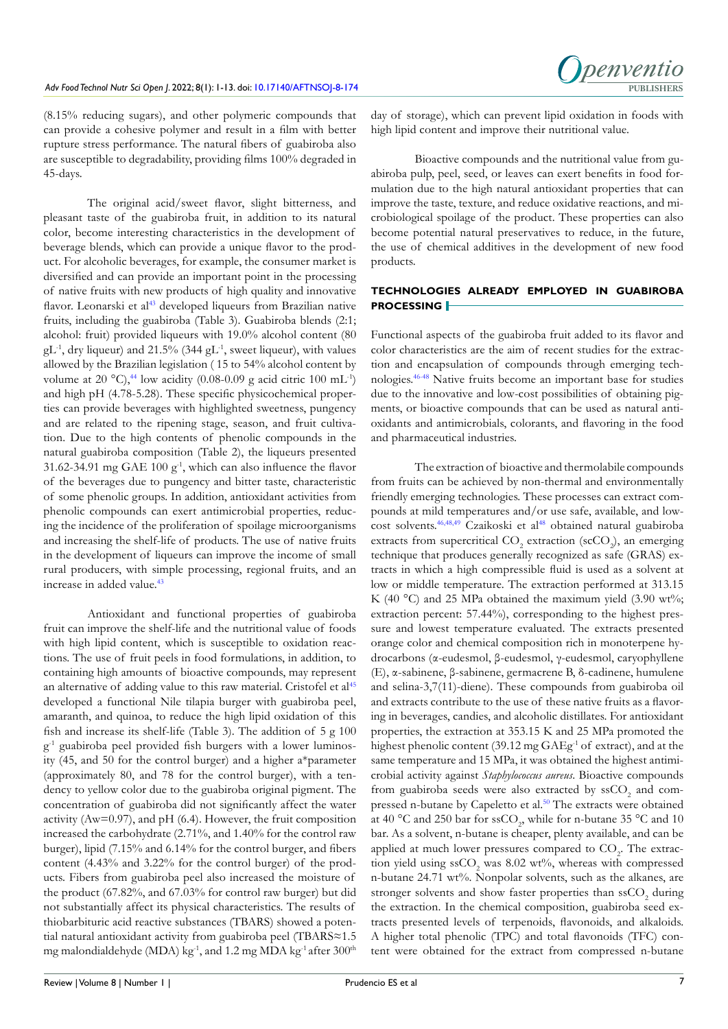(8.15% reducing sugars), and other polymeric compounds that can provide a cohesive polymer and result in a film with better rupture stress performance. The natural fibers of guabiroba also are susceptible to degradability, providing films 100% degraded in 45-days.

The original acid/sweet flavor, slight bitterness, and pleasant taste of the guabiroba fruit, in addition to its natural color, become interesting characteristics in the development of beverage blends, which can provide a unique flavor to the product. For alcoholic beverages, for example, the consumer market is diversified and can provide an important point in the processing of native fruits with new products of high quality and innovative flavor. Leonarski et al<sup>[43](#page-10-9)</sup> developed liqueurs from Brazilian native fruits, including the guabiroba (Table 3). Guabiroba blends (2:1; alcohol: fruit) provided liqueurs with 19.0% alcohol content (80  $gL<sup>-1</sup>$ , dry liqueur) and 21.5% (344 gL $<sup>-1</sup>$ , sweet liqueur), with values</sup> allowed by the Brazilian legislation ( 15 to 54% alcohol content by volume at 20 °C),<sup>44</sup> low acidity (0.08-0.09 g acid citric 100 mL<sup>-1</sup>) and high pH (4.78-5.28). These specific physicochemical properties can provide beverages with highlighted sweetness, pungency and are related to the ripening stage, season, and fruit cultivation. Due to the high contents of phenolic compounds in the natural guabiroba composition (Table 2), the liqueurs presented 31.62-34.91 mg GAE 100  $g^{-1}$ , which can also influence the flavor of the beverages due to pungency and bitter taste, characteristic of some phenolic groups. In addition, antioxidant activities from phenolic compounds can exert antimicrobial properties, reducing the incidence of the proliferation of spoilage microorganisms and increasing the shelf-life of products. The use of native fruits in the development of liqueurs can improve the income of small rural producers, with simple processing, regional fruits, and an increase in added value.<sup>43</sup>

Antioxidant and functional properties of guabiroba fruit can improve the shelf-life and the nutritional value of foods with high lipid content, which is susceptible to oxidation reactions. The use of fruit peels in food formulations, in addition, to containing high amounts of bioactive compounds, may represent an alternative of adding value to this raw material. Cristofel et al<sup>[45](#page-10-10)</sup> developed a functional Nile tilapia burger with guabiroba peel, amaranth, and quinoa, to reduce the high lipid oxidation of this fish and increase its shelf-life (Table 3). The addition of 5 g 100 g-1 guabiroba peel provided fish burgers with a lower luminosity (45, and 50 for the control burger) and a higher a\*parameter (approximately 80, and 78 for the control burger), with a tendency to yellow color due to the guabiroba original pigment. The concentration of guabiroba did not significantly affect the water activity ( $Aw=0.97$ ), and  $pH$  (6.4). However, the fruit composition increased the carbohydrate (2.71%, and 1.40% for the control raw burger), lipid (7.15% and 6.14% for the control burger, and fibers content (4.43% and 3.22% for the control burger) of the products. Fibers from guabiroba peel also increased the moisture of the product (67.82%, and 67.03% for control raw burger) but did not substantially affect its physical characteristics. The results of thiobarbituric acid reactive substances (TBARS) showed a potential natural antioxidant activity from guabiroba peel (TBARS≈1.5 mg malondialdehyde (MDA) kg<sup>-1</sup>, and 1.2 mg MDA kg<sup>-1</sup> after 300<sup>th</sup>

day of storage), which can prevent lipid oxidation in foods with high lipid content and improve their nutritional value.

Bioactive compounds and the nutritional value from guabiroba pulp, peel, seed, or leaves can exert benefits in food formulation due to the high natural antioxidant properties that can improve the taste, texture, and reduce oxidative reactions, and microbiological spoilage of the product. These properties can also become potential natural preservatives to reduce, in the future, the use of chemical additives in the development of new food products.

### **TECHNOLOGIES ALREADY EMPLOYED IN GUABIROBA PROCESSING**

Functional aspects of the guabiroba fruit added to its flavor and color characteristics are the aim of recent studies for the extraction and encapsulation of compounds through emerging technologies[.46-48](#page-10-14) Native fruits become an important base for studies due to the innovative and low-cost possibilities of obtaining pigments, or bioactive compounds that can be used as natural antioxidants and antimicrobials, colorants, and flavoring in the food and pharmaceutical industries.

The extraction of bioactive and thermolabile compounds from fruits can be achieved by non-thermal and environmentally friendly emerging technologies. These processes can extract compounds at mild temperatures and/or use safe, available, and low-cost solvents.<sup>46,[48](#page-10-15),49</sup> Czaikoski et al<sup>48</sup> obtained natural guabiroba extracts from supercritical  $\mathrm{CO}_2$  extraction (sc $\mathrm{CO}_2$ ), an emerging technique that produces generally recognized as safe (GRAS) extracts in which a high compressible fluid is used as a solvent at low or middle temperature. The extraction performed at 313.15 K (40  $^{\circ}$ C) and 25 MPa obtained the maximum yield (3.90 wt%; extraction percent: 57.44%), corresponding to the highest pressure and lowest temperature evaluated. The extracts presented orange color and chemical composition rich in monoterpene hydrocarbons (α-eudesmol, β-eudesmol, γ-eudesmol, caryophyllene (E), α-sabinene, β-sabinene, germacrene B, δ-cadinene, humulene and selina-3,7(11)-diene). These compounds from guabiroba oil and extracts contribute to the use of these native fruits as a flavoring in beverages, candies, and alcoholic distillates. For antioxidant properties, the extraction at 353.15 K and 25 MPa promoted the highest phenolic content (39.12 mg GAEg<sup>-1</sup> of extract), and at the same temperature and 15 MPa, it was obtained the highest antimicrobial activity against *Staphylococcus aureus*. Bioactive compounds from guabiroba seeds were also extracted by  $\mathrm{ssCO}_2$  and compressed n-butane by Capeletto et al.<sup>50</sup> The extracts were obtained at 40 °C and 250 bar for ssCO<sub>2</sub>, while for n-butane 35 °C and 10 bar. As a solvent, n-butane is cheaper, plenty available, and can be applied at much lower pressures compared to  $CO<sub>2</sub>$ . The extraction yield using  $\mathrm{s}\mathrm{s}\mathrm{CO}_2$  was  $8.02$  wt%, whereas with compressed n-butane 24.71 wt%. Nonpolar solvents, such as the alkanes, are stronger solvents and show faster properties than  $\mathrm{s}\mathrm{s}\mathrm{CO}_2$  during the extraction. In the chemical composition, guabiroba seed extracts presented levels of terpenoids, flavonoids, and alkaloids. A higher total phenolic (TPC) and total flavonoids (TFC) content were obtained for the extract from compressed n-butane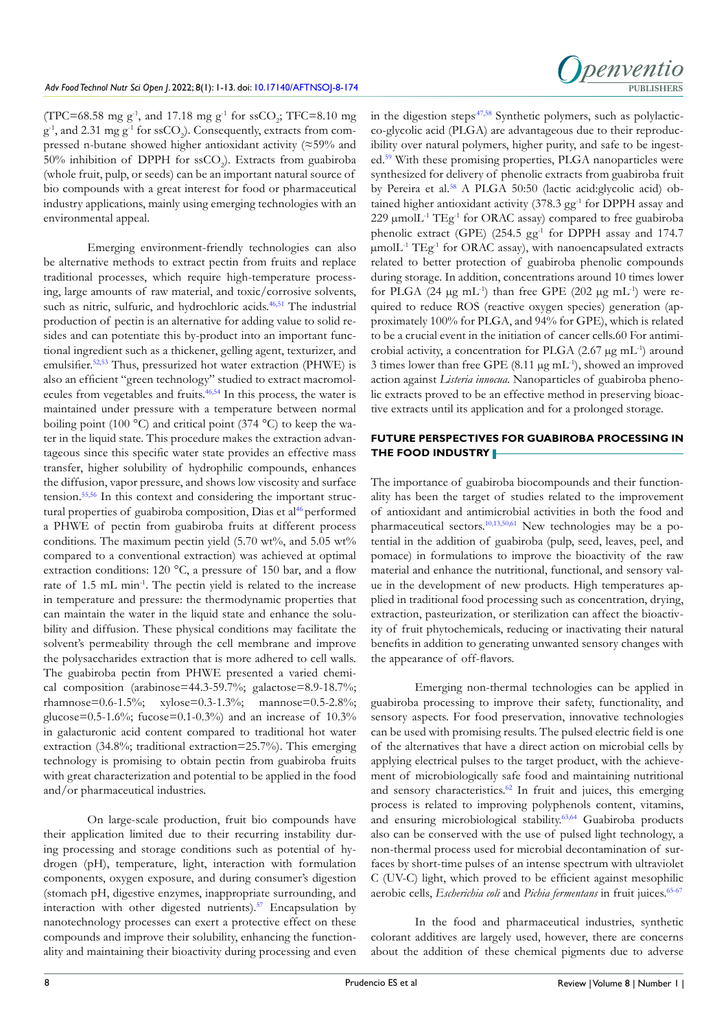

(TPC=68.58 mg  $g^{-1}$ , and 17.18 mg  $g^{-1}$  for ssCO<sub>2</sub>; TFC=8.10 mg  $g<sup>-1</sup>$ , and 2.31 mg  $g<sup>-1</sup>$  for ssCO<sub>2</sub>). Consequently, extracts from compressed n-butane showed higher antioxidant activity (≈59% and 50% inhibition of DPPH for  $\text{ssCO}_2$ ). Extracts from guabiroba (whole fruit, pulp, or seeds) can be an important natural source of bio compounds with a great interest for food or pharmaceutical industry applications, mainly using emerging technologies with an environmental appeal.

Emerging environment-friendly technologies can also be alternative methods to extract pectin from fruits and replace traditional processes, which require high-temperature processing, large amounts of raw material, and toxic/corrosive solvents, such as nitric, sulfuric, and hydrochloric acids.<sup>46,51</sup> The industrial production of pectin is an alternative for adding value to solid resides and can potentiate this by-product into an important functional ingredient such as a thickener, gelling agent, texturizer, and emulsifier.<sup>[52,53](#page-11-2)</sup> Thus, pressurized hot water extraction (PHWE) is also an efficient "green technology" studied to extract macromolecules from vegetables and fruits.[46,](#page-10-14)[54](#page-11-3) In this process, the water is maintained under pressure with a temperature between normal boiling point (100 $\degree$ C) and critical point (374 $\degree$ C) to keep the water in the liquid state. This procedure makes the extraction advantageous since this specific water state provides an effective mass transfer, higher solubility of hydrophilic compounds, enhances the diffusion, vapor pressure, and shows low viscosity and surface tension.[55,56](#page-11-4) In this context and considering the important structural properties of guabiroba composition, Dias et al<sup>46</sup> performed a PHWE of pectin from guabiroba fruits at different process conditions. The maximum pectin yield  $(5.70 \text{ wt\%})$ , and  $5.05 \text{ wt\%}$ compared to a conventional extraction) was achieved at optimal extraction conditions: 120 °C, a pressure of 150 bar, and a flow rate of 1.5 mL min-1. The pectin yield is related to the increase in temperature and pressure: the thermodynamic properties that can maintain the water in the liquid state and enhance the solubility and diffusion. These physical conditions may facilitate the solvent's permeability through the cell membrane and improve the polysaccharides extraction that is more adhered to cell walls. The guabiroba pectin from PHWE presented a varied chemical composition (arabinose=44.3-59.7%; galactose=8.9-18.7%; rhamnose=0.6-1.5%; xylose=0.3-1.3%; mannose=0.5-2.8%; glucose=0.5-1.6%; fucose=0.1-0.3%) and an increase of  $10.3\%$ in galacturonic acid content compared to traditional hot water extraction (34.8%; traditional extraction=25.7%). This emerging technology is promising to obtain pectin from guabiroba fruits with great characterization and potential to be applied in the food and/or pharmaceutical industries.

On large-scale production, fruit bio compounds have their application limited due to their recurring instability during processing and storage conditions such as potential of hydrogen (pH), temperature, light, interaction with formulation components, oxygen exposure, and during consumer's digestion (stomach pH, digestive enzymes, inappropriate surrounding, and interaction with other digested nutrients).<sup>[57](#page-11-5)</sup> Encapsulation by nanotechnology processes can exert a protective effect on these compounds and improve their solubility, enhancing the functionality and maintaining their bioactivity during processing and even

in the digestion steps $47,58$  $47,58$  Synthetic polymers, such as polylacticco-glycolic acid (PLGA) are advantageous due to their reproducibility over natural polymers, higher purity, and safe to be ingested.[59](#page-11-7) With these promising properties, PLGA nanoparticles were synthesized for delivery of phenolic extracts from guabiroba fruit by Pereira et al.<sup>[58](#page-11-6)</sup> A PLGA 50:50 (lactic acid:glycolic acid) obtained higher antioxidant activity (378.3 gg<sup>-1</sup> for DPPH assay and  $229 \mu$ molL<sup>-1</sup> TEg<sup>-1</sup> for ORAC assay) compared to free guabiroba phenolic extract (GPE) (254.5  $gg^{-1}$  for DPPH assay and 174.7 µmolL-1 TEg-1 for ORAC assay), with nanoencapsulated extracts related to better protection of guabiroba phenolic compounds during storage. In addition, concentrations around 10 times lower for PLGA (24  $\mu$ g mL<sup>-1</sup>) than free GPE (202  $\mu$ g mL<sup>-1</sup>) were required to reduce ROS (reactive oxygen species) generation (approximately 100% for PLGA, and 94% for GPE), which is related to be a crucial event in the initiation of cancer cells.60 For antimicrobial activity, a concentration for PLGA  $(2.67 \mu g \text{ mL}^{-1})$  around 3 times lower than free GPE  $(8.11 \,\mu g \,\text{mL}^{-1})$ , showed an improved action against *Listeria innocua*. Nanoparticles of guabiroba phenolic extracts proved to be an effective method in preserving bioactive extracts until its application and for a prolonged storage.

# **FUTURE PERSPECTIVES FOR GUABIROBA PROCESSING IN THE FOOD INDUSTRY**

The importance of guabiroba biocompounds and their functionality has been the target of studies related to the improvement of antioxidant and antimicrobial activities in both the food and pharmaceutical sectors.[10,](#page-9-2)[13,](#page-9-16)[50,](#page-11-0)[61](#page-11-8) New technologies may be a potential in the addition of guabiroba (pulp, seed, leaves, peel, and pomace) in formulations to improve the bioactivity of the raw material and enhance the nutritional, functional, and sensory value in the development of new products. High temperatures applied in traditional food processing such as concentration, drying, extraction, pasteurization, or sterilization can affect the bioactivity of fruit phytochemicals, reducing or inactivating their natural benefits in addition to generating unwanted sensory changes with the appearance of off-flavors.

Emerging non-thermal technologies can be applied in guabiroba processing to improve their safety, functionality, and sensory aspects. For food preservation, innovative technologies can be used with promising results. The pulsed electric field is one of the alternatives that have a direct action on microbial cells by applying electrical pulses to the target product, with the achievement of microbiologically safe food and maintaining nutritional and sensory characteristics.<sup>62</sup> In fruit and juices, this emerging process is related to improving polyphenols content, vitamins, and ensuring microbiological stability.<sup>63,64</sup> Guabiroba products also can be conserved with the use of pulsed light technology, a non-thermal process used for microbial decontamination of surfaces by short-time pulses of an intense spectrum with ultraviolet C (UV-C) light, which proved to be efficient against mesophilic aerobic cells, *Escherichia coli* and *Pichia fermentans* in fruit juices.<sup>65-67</sup>

In the food and pharmaceutical industries, synthetic colorant additives are largely used, however, there are concerns about the addition of these chemical pigments due to adverse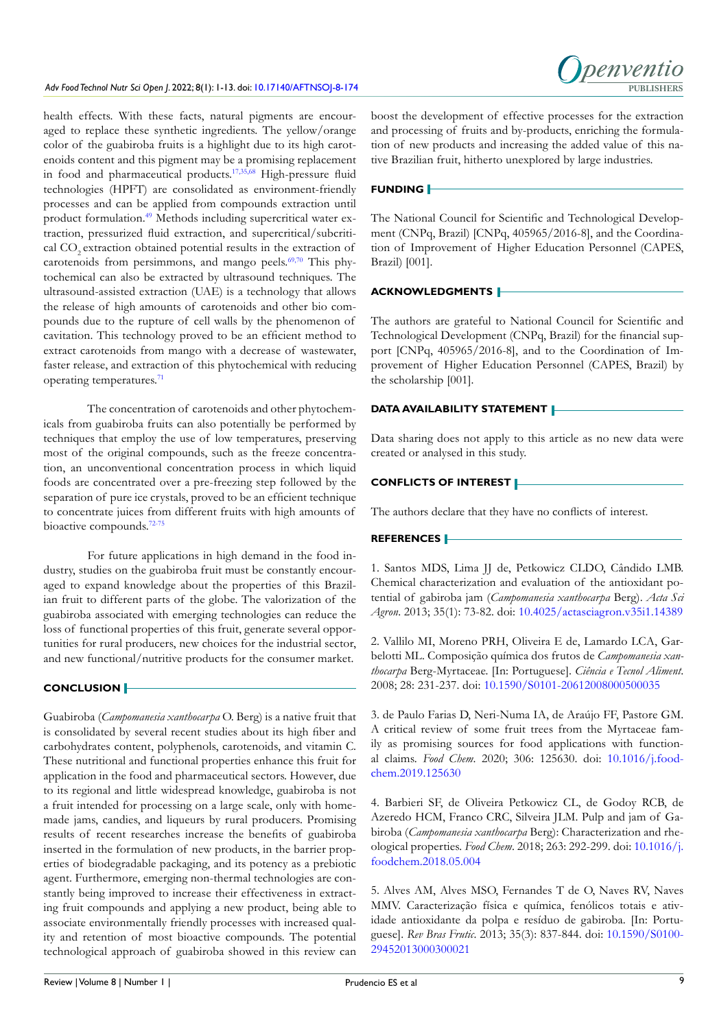

health effects. With these facts, natural pigments are encouraged to replace these synthetic ingredients. The yellow/orange color of the guabiroba fruits is a highlight due to its high carotenoids content and this pigment may be a promising replacement in food and pharmaceutical products.[17,](#page-9-7)[35,](#page-10-17)[68](#page-11-12) High-pressure fluid technologies (HPFT) are consolidated as environment-friendly processes and can be applied from compounds extraction until product formulation.[49](#page-10-18) Methods including supercritical water extraction, pressurized fluid extraction, and supercritical/subcritical CO<sub>2</sub> extraction obtained potential results in the extraction of carotenoids from persimmons, and mango peels.<sup>69,70</sup> This phytochemical can also be extracted by ultrasound techniques. The ultrasound-assisted extraction (UAE) is a technology that allows the release of high amounts of carotenoids and other bio compounds due to the rupture of cell walls by the phenomenon of cavitation. This technology proved to be an efficient method to extract carotenoids from mango with a decrease of wastewater, faster release, and extraction of this phytochemical with reducing operating temperatures.[71](#page-11-14)

The concentration of carotenoids and other phytochemicals from guabiroba fruits can also potentially be performed by techniques that employ the use of low temperatures, preserving most of the original compounds, such as the freeze concentration, an unconventional concentration process in which liquid foods are concentrated over a pre-freezing step followed by the separation of pure ice crystals, proved to be an efficient technique to concentrate juices from different fruits with high amounts of bioactive compounds.[72-75](#page-12-0)

For future applications in high demand in the food industry, studies on the guabiroba fruit must be constantly encouraged to expand knowledge about the properties of this Brazilian fruit to different parts of the globe. The valorization of the guabiroba associated with emerging technologies can reduce the loss of functional properties of this fruit, generate several opportunities for rural producers, new choices for the industrial sector, and new functional/nutritive products for the consumer market.

#### **CONCLUSION**

Guabiroba (*Campomanesia xanthocarpa* O. Berg) is a native fruit that is consolidated by several recent studies about its high fiber and carbohydrates content, polyphenols, carotenoids, and vitamin C. These nutritional and functional properties enhance this fruit for application in the food and pharmaceutical sectors. However, due to its regional and little widespread knowledge, guabiroba is not a fruit intended for processing on a large scale, only with homemade jams, candies, and liqueurs by rural producers. Promising results of recent researches increase the benefits of guabiroba inserted in the formulation of new products, in the barrier properties of biodegradable packaging, and its potency as a prebiotic agent. Furthermore, emerging non-thermal technologies are constantly being improved to increase their effectiveness in extracting fruit compounds and applying a new product, being able to associate environmentally friendly processes with increased quality and retention of most bioactive compounds. The potential technological approach of guabiroba showed in this review can

boost the development of effective processes for the extraction and processing of fruits and by-products, enriching the formulation of new products and increasing the added value of this native Brazilian fruit, hitherto unexplored by large industries.

#### **FUNDING**

The National Council for Scientific and Technological Development (CNPq, Brazil) [CNPq, 405965/2016-8], and the Coordination of Improvement of Higher Education Personnel (CAPES, Brazil) [001].

#### **ACKNOWLEDGMENTS**

The authors are grateful to National Council for Scientific and Technological Development (CNPq, Brazil) for the financial support [CNPq, 405965/2016-8], and to the Coordination of Improvement of Higher Education Personnel (CAPES, Brazil) by the scholarship [001].

# **DATA AVAILABILITY STATEMENT**

Data sharing does not apply to this article as no new data were created or analysed in this study.

# **CONFLICTS OF INTEREST**

The authors declare that they have no conflicts of interest.

### **REFERENCES**

<span id="page-8-0"></span>1. Santos MDS, Lima JJ de, Petkowicz CLDO, Cândido LMB. Chemical characterization and evaluation of the antioxidant potential of gabiroba jam (*Campomanesia xanthocarpa* Berg). *Acta Sci Agron*. 2013; 35(1): 73-82. doi: [10.4025/actasciagron.v35i1.14389](http://doi.org/10.4025/actasciagron.v35i1.14389)

<span id="page-8-1"></span>2. Vallilo MI, Moreno PRH, Oliveira E de, Lamardo LCA, Garbelotti ML. Composição química dos frutos de *Campomanesia xanthocarpa* Berg-Myrtaceae. [In: Portuguese]. *Ciência e Tecnol Aliment*. 2008; 28: 231-237. doi: [10.1590/S0101-20612008000500035](http://doi.org/10.1590/S0101-20612008000500035)

<span id="page-8-3"></span>3. de Paulo Farias D, Neri-Numa IA, de Araújo FF, Pastore GM. A critical review of some fruit trees from the Myrtaceae family as promising sources for food applications with functional claims. *Food Chem*. 2020; 306: 125630. doi: [10.1016/j.food](http://doi.org/10.1016/j.foodchem.2019.125630)[chem.2019.125630](http://doi.org/10.1016/j.foodchem.2019.125630)

<span id="page-8-2"></span>4. Barbieri SF, de Oliveira Petkowicz CL, de Godoy RCB, de Azeredo HCM, Franco CRC, Silveira JLM. Pulp and jam of Gabiroba (*Campomanesia xanthocarpa* Berg): Characterization and rheological properties. *Food Chem*. 2018; 263: 292-299. doi: [10.1016/j.](http://doi.org/10.1016/j.foodchem.2018.05.004) [foodchem.2018.05.004](http://doi.org/10.1016/j.foodchem.2018.05.004)

5. Alves AM, Alves MSO, Fernandes T de O, Naves RV, Naves MMV. Caracterização física e química, fenólicos totais e atividade antioxidante da polpa e resíduo de gabiroba. [In: Portuguese]. *Rev Bras Frutic*. 2013; 35(3): 837-844. doi: [10.1590/S0100-](http://doi.org/10.1590/S0100-29452013000300021) [29452013000300021](http://doi.org/10.1590/S0100-29452013000300021)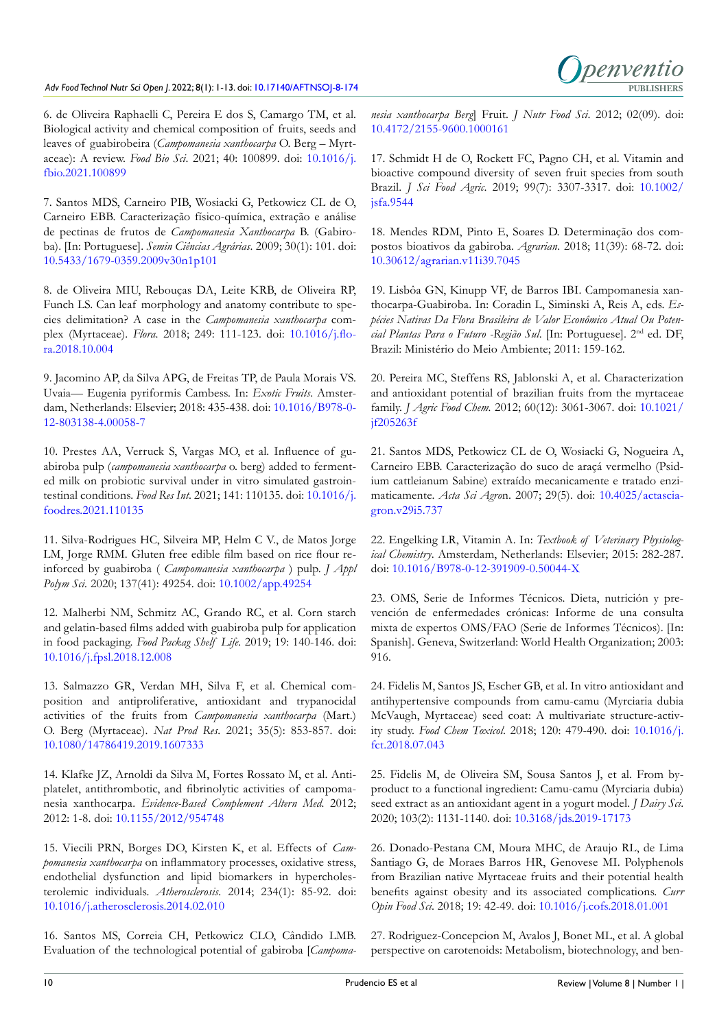

<span id="page-9-0"></span>6. de Oliveira Raphaelli C, Pereira E dos S, Camargo TM, et al. Biological activity and chemical composition of fruits, seeds and leaves of guabirobeira (*Campomanesia xanthocarpa* O. Berg – Myrtaceae): A review. *Food Bio Sci*. 2021; 40: 100899. doi: [10.1016/j.](http://doi.org/10.1016/j.fbio.2021.100899) [fbio.2021.100899](http://doi.org/10.1016/j.fbio.2021.100899)

<span id="page-9-1"></span>7. Santos MDS, Carneiro PIB, Wosiacki G, Petkowicz CL de O, Carneiro EBB. Caracterização físico-química, extração e análise de pectinas de frutos de *Campomanesia Xanthocarpa* B. (Gabiroba). [In: Portuguese]. *Semin Ciências Agrárias*. 2009; 30(1): 101. doi: [10.5433/1679-0359.2009v30n1p101](http://doi.org/10.5433/1679-0359.2009v30n1p101 )

8. de Oliveira MIU, Rebouças DA, Leite KRB, de Oliveira RP, Funch LS. Can leaf morphology and anatomy contribute to species delimitation? A case in the *Campomanesia xanthocarpa* complex (Myrtaceae). *Flora*. 2018; 249: 111-123. doi: [10.1016/j.flo](http://doi.org/10.1016/j.flora.2018.10.004)[ra.2018.10.004](http://doi.org/10.1016/j.flora.2018.10.004)

9. Jacomino AP, da Silva APG, de Freitas TP, de Paula Morais VS. Uvaia— Eugenia pyriformis Cambess. In: *Exotic Fruits*. Amsterdam, Netherlands: Elsevier; 2018: 435-438. doi: [10.1016/B978-0-](http://doi.org/10.1016/B978-0-12-803138-4.00058-7) [12-803138-4.00058-7](http://doi.org/10.1016/B978-0-12-803138-4.00058-7)

<span id="page-9-2"></span>10. Prestes AA, Verruck S, Vargas MO, et al. Influence of guabiroba pulp (*campomanesia xanthocarpa* o. berg) added to fermented milk on probiotic survival under in vitro simulated gastrointestinal conditions. *Food Res Int*. 2021; 141: 110135. doi: [10.1016/j.](http://doi.org/10.1016/j.foodres.2021.110135) [foodres.2021.110135](http://doi.org/10.1016/j.foodres.2021.110135)

<span id="page-9-13"></span>11. Silva-Rodrigues HC, Silveira MP, Helm C V., de Matos Jorge LM, Jorge RMM. Gluten free edible film based on rice flour reinforced by guabiroba ( *Campomanesia xanthocarpa* ) pulp. *J Appl Polym Sci.* 2020; 137(41): 49254. doi: [10.1002/app.49254](http://doi.org/10.1002/app.49254)

<span id="page-9-14"></span>12. Malherbi NM, Schmitz AC, Grando RC, et al. Corn starch and gelatin-based films added with guabiroba pulp for application in food packaging. *Food Packag Shelf Life*. 2019; 19: 140-146. doi: [10.1016/j.fpsl.2018.12.008](http://doi.org/10.1016/j.fpsl.2018.12.008)

<span id="page-9-16"></span>13. Salmazzo GR, Verdan MH, Silva F, et al. Chemical composition and antiproliferative, antioxidant and trypanocidal activities of the fruits from *Campomanesia xanthocarpa* (Mart.) O. Berg (Myrtaceae). *Nat Prod Res*. 2021; 35(5): 853-857. doi: [10.1080/14786419.2019.1607333](http://doi.org/10.1080/14786419.2019.1607333)

14. Klafke JZ, Arnoldi da Silva M, Fortes Rossato M, et al. Antiplatelet, antithrombotic, and fibrinolytic activities of campomanesia xanthocarpa. *Evidence-Based Complement Altern Med.* 2012; 2012: 1-8. doi: [10.1155/2012/954748](http://doi.org/10.1155/2012/954748)

15. Viecili PRN, Borges DO, Kirsten K, et al. Effects of *Campomanesia xanthocarpa* on inflammatory processes, oxidative stress, endothelial dysfunction and lipid biomarkers in hypercholesterolemic individuals. *Atherosclerosis*. 2014; 234(1): 85-92. doi: [10.1016/j.atherosclerosis.2014.02.010](http://doi.org/10.1016/j.atherosclerosis.2014.02.010)

<span id="page-9-3"></span>16. Santos MS, Correia CH, Petkowicz CLO, Cândido LMB. Evaluation of the technological potential of gabiroba [*Campoma-* *nesia xanthocarpa Berg*] Fruit. *J Nutr Food Sci*. 2012; 02(09). doi: [10.4172/2155-9600.1000161](http://doi.org/10.4172/2155-9600.1000161)

<span id="page-9-7"></span>17. Schmidt H de O, Rockett FC, Pagno CH, et al. Vitamin and bioactive compound diversity of seven fruit species from south Brazil. *J Sci Food Agric*. 2019; 99(7): 3307-3317. doi: [10.1002/](http://doi.org/10.1002/jsfa.9544) [jsfa.9544](http://doi.org/10.1002/jsfa.9544)

<span id="page-9-4"></span>18. Mendes RDM, Pinto E, Soares D. Determinação dos compostos bioativos da gabiroba. *Agrarian*. 2018; 11(39): 68-72. doi: [10.30612/agrarian.v11i39.7045](http://doi.org/10.30612/agrarian.v11i39.7045)

<span id="page-9-5"></span>19. Lisbôa GN, Kinupp VF, de Barros IBI. Campomanesia xanthocarpa-Guabiroba. In: Coradin L, Siminski A, Reis A, eds. *Espécies Nativas Da Flora Brasileira de Valor Econômico Atual Ou Potencial Plantas Para o Futuro -Região Sul*. [In: Portuguese]. 2nd ed. DF, Brazil: Ministério do Meio Ambiente; 2011: 159-162.

<span id="page-9-6"></span>20. Pereira MC, Steffens RS, Jablonski A, et al. Characterization and antioxidant potential of brazilian fruits from the myrtaceae family. *J Agric Food Chem.* 2012; 60(12): 3061-3067. doi: [10.1021/](http://doi.org/10.1021/jf205263f) [jf205263f](http://doi.org/10.1021/jf205263f)

<span id="page-9-8"></span>21. Santos MDS, Petkowicz CL de O, Wosiacki G, Nogueira A, Carneiro EBB. Caracterização do suco de araçá vermelho (Psidium cattleianum Sabine) extraído mecanicamente e tratado enzimaticamente. *Acta Sci Agro*n. 2007; 29(5). doi: [10.4025/actascia](http://doi.org/10.4025/actasciagron.v29i5.737)[gron.v29i5.737](http://doi.org/10.4025/actasciagron.v29i5.737)

<span id="page-9-9"></span>22. Engelking LR, Vitamin A. In: *Textbook of Veterinary Physiological Chemistry*. Amsterdam, Netherlands: Elsevier; 2015: 282-287. doi: [10.1016/B978-0-12-391909-0.50044-X](http://doi.org/10.1016/B978-0-12-391909-0.50044-X)

<span id="page-9-10"></span>23. OMS, Serie de Informes Técnicos. Dieta, nutrición y prevención de enfermedades crónicas: Informe de una consulta mixta de expertos OMS/FAO (Serie de Informes Técnicos). [In: Spanish]. Geneva, Switzerland: World Health Organization; 2003: 916.

<span id="page-9-11"></span>24. Fidelis M, Santos JS, Escher GB, et al. In vitro antioxidant and antihypertensive compounds from camu-camu (Myrciaria dubia McVaugh, Myrtaceae) seed coat: A multivariate structure-activity study. *Food Chem Toxicol*. 2018; 120: 479-490. doi: [10.1016/j.](http://doi.org/10.1016/j.fct.2018.07.043) [fct.2018.07.043](http://doi.org/10.1016/j.fct.2018.07.043)

<span id="page-9-15"></span>25. Fidelis M, de Oliveira SM, Sousa Santos J, et al. From byproduct to a functional ingredient: Camu-camu (Myrciaria dubia) seed extract as an antioxidant agent in a yogurt model. *J Dairy Sci*. 2020; 103(2): 1131-1140. doi: [10.3168/jds.2019-17173](http://doi.org/10.3168/jds.2019-17173)

26. Donado-Pestana CM, Moura MHC, de Araujo RL, de Lima Santiago G, de Moraes Barros HR, Genovese MI. Polyphenols from Brazilian native Myrtaceae fruits and their potential health benefits against obesity and its associated complications. *Curr Opin Food Sci*. 2018; 19: 42-49. doi: [10.1016/j.cofs.2018.01.001](http://doi.org/10.1016/j.cofs.2018.01.001)

<span id="page-9-12"></span>27. Rodriguez-Concepcion M, Avalos J, Bonet ML, et al. A global perspective on carotenoids: Metabolism, biotechnology, and ben-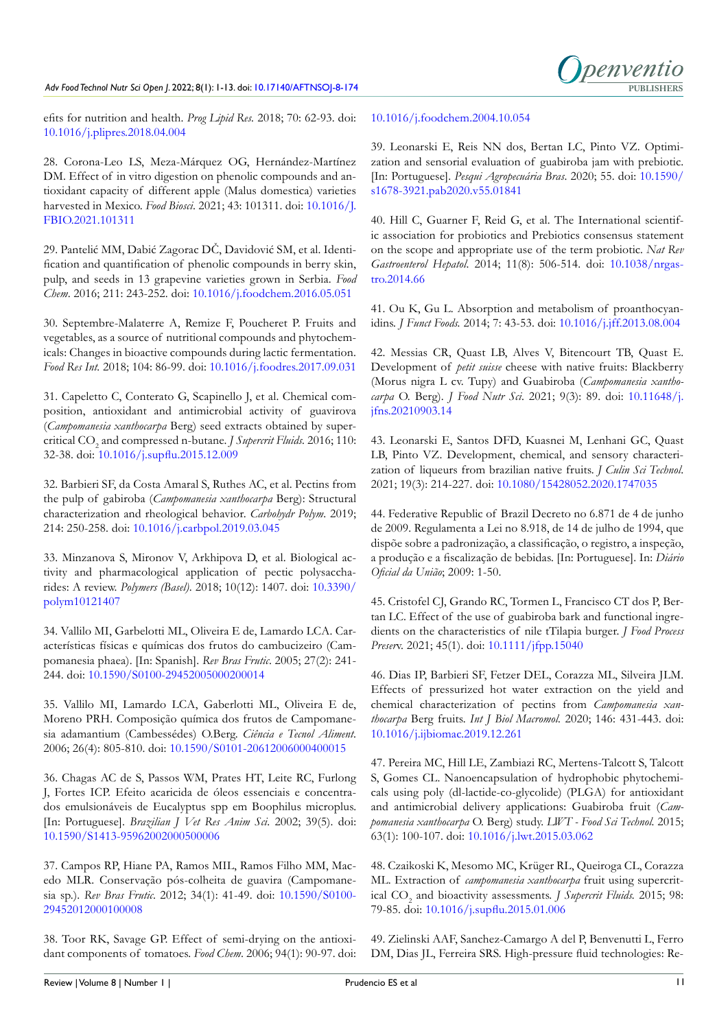

efits for nutrition and health. *Prog Lipid Res.* 2018; 70: 62-93. doi: [10.1016/j.plipres.2018.04.004](http://doi.org/10.1016/j.plipres.2018.04.004)

<span id="page-10-0"></span>28. Corona-Leo LS, Meza-Márquez OG, Hernández-Martínez DM. Effect of in vitro digestion on phenolic compounds and antioxidant capacity of different apple (Malus domestica) varieties harvested in Mexico. *Food Biosci*. 2021; 43: 101311. doi: [10.1016/J.](http://doi.org/10.1016/J.FBIO.2021.101311) [FBIO.2021.101311](http://doi.org/10.1016/J.FBIO.2021.101311)

29. Pantelić MM, Dabić Zagorac DČ, Davidović SM, et al. Identification and quantification of phenolic compounds in berry skin, pulp, and seeds in 13 grapevine varieties grown in Serbia. *Food Chem*. 2016; 211: 243-252. doi: [10.1016/j.foodchem.2016.05.051](http://doi.org/10.1016/j.foodchem.2016.05.051)

<span id="page-10-1"></span>30. Septembre-Malaterre A, Remize F, Poucheret P. Fruits and vegetables, as a source of nutritional compounds and phytochemicals: Changes in bioactive compounds during lactic fermentation. *Food Res Int.* 2018; 104: 86-99. doi: [10.1016/j.foodres.2017.09.031](http://doi.org/10.1016/j.foodres.2017.09.031)

31. Capeletto C, Conterato G, Scapinello J, et al. Chemical composition, antioxidant and antimicrobial activity of guavirova (*Campomanesia xanthocarpa* Berg) seed extracts obtained by supercritical CO<sub>2</sub> and compressed n-butane. *J Supercrit Fluids*. 2016; 110: 32-38. doi: [10.1016/j.supflu.2015.12.009](http://doi.org/10.1016/j.supflu.2015.12.009)

<span id="page-10-2"></span>32. Barbieri SF, da Costa Amaral S, Ruthes AC, et al. Pectins from the pulp of gabiroba (*Campomanesia xanthocarpa* Berg): Structural characterization and rheological behavior. *Carbohydr Polym*. 2019; 214: 250-258. doi: [10.1016/j.carbpol.2019.03.045](http://doi.org/10.1016/j.carbpol.2019.03.045)

33. Minzanova S, Mironov V, Arkhipova D, et al. Biological activity and pharmacological application of pectic polysaccharides: A review. *Polymers (Basel)*. 2018; 10(12): 1407. doi: [10.3390/](http://doi.org/10.3390/polym10121407) [polym10121407](http://doi.org/10.3390/polym10121407)

<span id="page-10-3"></span>34. Vallilo MI, Garbelotti ML, Oliveira E de, Lamardo LCA. Características físicas e químicas dos frutos do cambucizeiro (Campomanesia phaea). [In: Spanish]. *Rev Bras Frutic*. 2005; 27(2): 241- 244. doi: [10.1590/S0100-29452005000200014](http://doi.org/10.1590/S0100-29452005000200014)

<span id="page-10-17"></span>35. Vallilo MI, Lamardo LCA, Gaberlotti ML, Oliveira E de, Moreno PRH. Composição química dos frutos de Campomanesia adamantium (Cambessédes) O.Berg. *Ciência e Tecnol Aliment*. 2006; 26(4): 805-810. doi: [10.1590/S0101-20612006000400015](http://doi.org/10.1590/S0101-20612006000400015)

<span id="page-10-4"></span>36. Chagas AC de S, Passos WM, Prates HT, Leite RC, Furlong J, Fortes ICP. Efeito acaricida de óleos essenciais e concentrados emulsionáveis de Eucalyptus spp em Boophilus microplus. [In: Portuguese]. *Brazilian J Vet Res Anim Sci*. 2002; 39(5). doi: [10.1590/S1413-95962002000500006](http://doi.org/10.1590/S1413-95962002000500006)

<span id="page-10-5"></span>37. Campos RP, Hiane PA, Ramos MIL, Ramos Filho MM, Macedo MLR. Conservação pós-colheita de guavira (Campomanesia sp.). *Rev Bras Frutic*. 2012; 34(1): 41-49. doi: [10.1590/S0100-](http://doi.org/10.1590/S0100-29452012000100008) [29452012000100008](http://doi.org/10.1590/S0100-29452012000100008)

<span id="page-10-6"></span>38. Toor RK, Savage GP. Effect of semi-drying on the antioxidant components of tomatoes. *Food Chem*. 2006; 94(1): 90-97. doi:

### [10.1016/j.foodchem.2004.10.054](http://doi.org/10.1016/j.foodchem.2004.10.054)

<span id="page-10-7"></span>39. Leonarski E, Reis NN dos, Bertan LC, Pinto VZ. Optimization and sensorial evaluation of guabiroba jam with prebiotic. [In: Portuguese]. *Pesqui Agropecuária Bras*. 2020; 55. doi: [10.1590/](http://doi.org/10.1590/s1678-3921.pab2020.v55.01841) [s1678-3921.pab2020.v55.01841](http://doi.org/10.1590/s1678-3921.pab2020.v55.01841)

<span id="page-10-11"></span>40. Hill C, Guarner F, Reid G, et al. The International scientific association for probiotics and Prebiotics consensus statement on the scope and appropriate use of the term probiotic. *Nat Rev Gastroenterol Hepatol*. 2014; 11(8): 506-514. doi: [10.1038/nrgas](http://doi.org/10.1038/nrgastro.2014.66)[tro.2014.66](http://doi.org/10.1038/nrgastro.2014.66)

<span id="page-10-12"></span>41. Ou K, Gu L. Absorption and metabolism of proanthocyanidins. *J Funct Foods.* 2014; 7: 43-53. doi: [10.1016/j.jff.2013.08.004](http://doi.org/10.1016/j.jff.2013.08.004)

<span id="page-10-8"></span>42. Messias CR, Quast LB, Alves V, Bitencourt TB, Quast E. Development of *petit suisse* cheese with native fruits: Blackberry (Morus nigra L cv. Tupy) and Guabiroba (*Campomanesia xanthocarpa* O. Berg). *J Food Nutr Sci*. 2021; 9(3): 89. doi: [10.11648/j.](http://doi.org/10.11648/j.jfns.20210903.14) [jfns.20210903.14](http://doi.org/10.11648/j.jfns.20210903.14)

<span id="page-10-9"></span>43. Leonarski E, Santos DFD, Kuasnei M, Lenhani GC, Quast LB, Pinto VZ. Development, chemical, and sensory characterization of liqueurs from brazilian native fruits. *J Culin Sci Technol*. 2021; 19(3): 214-227. doi: [10.1080/15428052.2020.1747035](http://doi.org/10.1080/15428052.2020.1747035)

<span id="page-10-13"></span>44. Federative Republic of Brazil Decreto no 6.871 de 4 de junho de 2009. Regulamenta a Lei no 8.918, de 14 de julho de 1994, que dispõe sobre a padronização, a classificação, o registro, a inspeção, a produção e a fiscalização de bebidas. [In: Portuguese]. In: *Diário Oficial da União*; 2009: 1-50.

<span id="page-10-10"></span>45. Cristofel CJ, Grando RC, Tormen L, Francisco CT dos P, Bertan LC. Effect of the use of guabiroba bark and functional ingredients on the characteristics of nile tTilapia burger. *J Food Process Preser*v. 2021; 45(1). doi: [10.1111/jfpp.15040](http://doi.org/10.1111/jfpp.15040)

<span id="page-10-14"></span>46. Dias IP, Barbieri SF, Fetzer DEL, Corazza ML, Silveira JLM. Effects of pressurized hot water extraction on the yield and chemical characterization of pectins from *Campomanesia xanthocarpa* Berg fruits. *Int J Biol Macromol.* 2020; 146: 431-443. doi: [10.1016/j.ijbiomac.2019.12.261](http://doi.org/10.1016/j.ijbiomac.2019.12.261)

<span id="page-10-16"></span>47. Pereira MC, Hill LE, Zambiazi RC, Mertens-Talcott S, Talcott S, Gomes CL. Nanoencapsulation of hydrophobic phytochemicals using poly (dl-lactide-co-glycolide) (PLGA) for antioxidant and antimicrobial delivery applications: Guabiroba fruit (*Campomanesia xanthocarpa* O. Berg) study. *LWT - Food Sci Technol.* 2015; 63(1): 100-107. doi: [10.1016/j.lwt.2015.03.062](http://doi.org/10.1016/j.lwt.2015.03.062)

<span id="page-10-15"></span>48. Czaikoski K, Mesomo MC, Krüger RL, Queiroga CL, Corazza ML. Extraction of *campomanesia xanthocarpa* fruit using supercritical CO<sub>2</sub> and bioactivity assessments. *J Supercrit Fluids*. 2015; 98: 79-85. doi: [10.1016/j.supflu.2015.01.006](http://doi.org/10.1016/j.supflu.2015.01.006)

<span id="page-10-18"></span>49. Zielinski AAF, Sanchez-Camargo A del P, Benvenutti L, Ferro DM, Dias JL, Ferreira SRS. High-pressure fluid technologies: Re-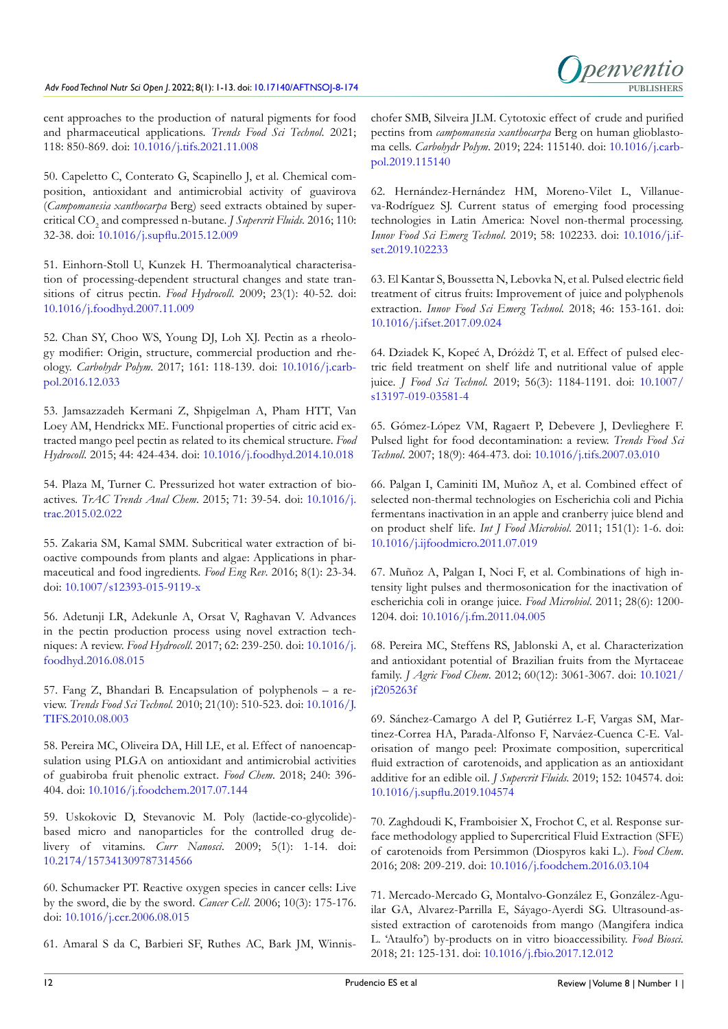

cent approaches to the production of natural pigments for food and pharmaceutical applications. *Trends Food Sci Technol*. 2021; 118: 850-869. doi: [10.1016/j.tifs.2021.11.008](http://doi.org/10.1016/j.tifs.2021.11.008)

<span id="page-11-0"></span>50. Capeletto C, Conterato G, Scapinello J, et al. Chemical composition, antioxidant and antimicrobial activity of guavirova (*Campomanesia xanthocarpa* Berg) seed extracts obtained by supercritical CO<sub>2</sub> and compressed n-butane. *J Supercrit Fluids*. 2016; 110: 32-38. doi: [10.1016/j.supflu.2015.12.009](http://doi.org/10.1016/j.supflu.2015.12.009)

<span id="page-11-1"></span>51. Einhorn-Stoll U, Kunzek H. Thermoanalytical characterisation of processing-dependent structural changes and state transitions of citrus pectin. *Food Hydrocoll*. 2009; 23(1): 40-52. doi: [10.1016/j.foodhyd.2007.11.009](http://doi.org/10.1016/j.foodhyd.2007.11.009)

<span id="page-11-2"></span>52. Chan SY, Choo WS, Young DJ, Loh XJ. Pectin as a rheology modifier: Origin, structure, commercial production and rheology. *Carbohydr Polym*. 2017; 161: 118-139. doi: [10.1016/j.carb](http://doi.org/10.1016/j.carbpol.2016.12.033)[pol.2016.12.033](http://doi.org/10.1016/j.carbpol.2016.12.033)

53. Jamsazzadeh Kermani Z, Shpigelman A, Pham HTT, Van Loey AM, Hendrickx ME. Functional properties of citric acid extracted mango peel pectin as related to its chemical structure. *Food Hydrocoll*. 2015; 44: 424-434. doi: [10.1016/j.foodhyd.2014.10.018](http://doi.org/10.1016/j.foodhyd.2014.10.018)

<span id="page-11-3"></span>54. Plaza M, Turner C. Pressurized hot water extraction of bioactives. *TrAC Trends Anal Chem*. 2015; 71: 39-54. doi: [10.1016/j.](http://doi.org/10.1016/j.trac.2015.02.022) [trac.2015.02.022](http://doi.org/10.1016/j.trac.2015.02.022)

<span id="page-11-4"></span>55. Zakaria SM, Kamal SMM. Subcritical water extraction of bioactive compounds from plants and algae: Applications in pharmaceutical and food ingredients. *Food Eng Rev*. 2016; 8(1): 23-34. doi: [10.1007/s12393-015-9119-x](http://doi.org/10.1007/s12393-015-9119-x)

56. Adetunji LR, Adekunle A, Orsat V, Raghavan V. Advances in the pectin production process using novel extraction techniques: A review. *Food Hydrocoll*. 2017; 62: 239-250. doi: [10.1016/j.](http://doi.org/10.1016/j.foodhyd.2016.08.015) [foodhyd.2016.08.015](http://doi.org/10.1016/j.foodhyd.2016.08.015)

<span id="page-11-5"></span>57. Fang Z, Bhandari B. Encapsulation of polyphenols – a review. *Trends Food Sci Technol.* 2010; 21(10): 510-523. doi: [10.1016/J.](http://doi.org/10.1016/J.TIFS.2010.08.003) [TIFS.2010.08.003](http://doi.org/10.1016/J.TIFS.2010.08.003)

<span id="page-11-6"></span>58. Pereira MC, Oliveira DA, Hill LE, et al. Effect of nanoencapsulation using PLGA on antioxidant and antimicrobial activities of guabiroba fruit phenolic extract. *Food Chem*. 2018; 240: 396- 404. doi: [10.1016/j.foodchem.2017.07.144](http://doi.org/10.1016/j.foodchem.2017.07.144)

<span id="page-11-7"></span>59. Uskokovic D, Stevanovic M. Poly (lactide-co-glycolide) based micro and nanoparticles for the controlled drug delivery of vitamins. *Curr Nanosci*. 2009; 5(1): 1-14. doi: [10.2174/157341309787314566](http://doi.org/10.2174/157341309787314566)

60. Schumacker PT. Reactive oxygen species in cancer cells: Live by the sword, die by the sword. *Cancer Cell*. 2006; 10(3): 175-176. doi: [10.1016/j.ccr.2006.08.015](http://doi.org/10.1016/j.ccr.2006.08.015)

<span id="page-11-8"></span>61. Amaral S da C, Barbieri SF, Ruthes AC, Bark JM, Winnis-

chofer SMB, Silveira JLM. Cytotoxic effect of crude and purified pectins from *campomanesia xanthocarpa* Berg on human glioblastoma cells. *Carbohydr Polym*. 2019; 224: 115140. doi: [10.1016/j.carb](http://doi.org/10.1016/j.carbpol.2019.115140)[pol.2019.115140](http://doi.org/10.1016/j.carbpol.2019.115140)

<span id="page-11-9"></span>62. Hernández-Hernández HM, Moreno-Vilet L, Villanueva-Rodríguez SJ. Current status of emerging food processing technologies in Latin America: Novel non-thermal processing. *Innov Food Sci Emerg Technol*. 2019; 58: 102233. doi: [10.1016/j.if](http://doi.org/10.1016/j.ifset.2019.102233)[set.2019.102233](http://doi.org/10.1016/j.ifset.2019.102233)

<span id="page-11-10"></span>63. El Kantar S, Boussetta N, Lebovka N, et al. Pulsed electric field treatment of citrus fruits: Improvement of juice and polyphenols extraction. *Innov Food Sci Emerg Technol.* 2018; 46: 153-161. doi: [10.1016/j.ifset.2017.09.024](http://doi.org/10.1016/j.ifset.2017.09.024)

64. Dziadek K, Kopeć A, Dróżdż T, et al. Effect of pulsed electric field treatment on shelf life and nutritional value of apple juice. *J Food Sci Technol.* 2019; 56(3): 1184-1191. doi: [10.1007/](http://doi.org/10.1007/s13197-019-03581-4) [s13197-019-03581-4](http://doi.org/10.1007/s13197-019-03581-4)

<span id="page-11-11"></span>65. Gómez-López VM, Ragaert P, Debevere J, Devlieghere F. Pulsed light for food decontamination: a review. *Trends Food Sci Technol*. 2007; 18(9): 464-473. doi: [10.1016/j.tifs.2007.03.010](http://doi.org/10.1016/j.tifs.2007.03.010)

66. Palgan I, Caminiti IM, Muñoz A, et al. Combined effect of selected non-thermal technologies on Escherichia coli and Pichia fermentans inactivation in an apple and cranberry juice blend and on product shelf life. *Int J Food Microbiol*. 2011; 151(1): 1-6. doi: [10.1016/j.ijfoodmicro.2011.07.019](http://doi.org/10.1016/j.ijfoodmicro.2011.07.019)

67. Muñoz A, Palgan I, Noci F, et al. Combinations of high intensity light pulses and thermosonication for the inactivation of escherichia coli in orange juice. *Food Microbiol*. 2011; 28(6): 1200- 1204. doi: [10.1016/j.fm.2011.04.005](http://doi.org/10.1016/j.fm.2011.04.005)

<span id="page-11-12"></span>68. Pereira MC, Steffens RS, Jablonski A, et al. Characterization and antioxidant potential of Brazilian fruits from the Myrtaceae family. *J Agric Food Chem*. 2012; 60(12): 3061-3067. doi: [10.1021/](http://doi.org/10.1021/jf205263f) [jf205263f](http://doi.org/10.1021/jf205263f)

<span id="page-11-13"></span>69. Sánchez-Camargo A del P, Gutiérrez L-F, Vargas SM, Martinez-Correa HA, Parada-Alfonso F, Narváez-Cuenca C-E. Valorisation of mango peel: Proximate composition, supercritical fluid extraction of carotenoids, and application as an antioxidant additive for an edible oil. *J Supercrit Fluids.* 2019; 152: 104574. doi: [10.1016/j.supflu.2019.104574](http://doi.org/10.1016/j.supflu.2019.104574)

70. Zaghdoudi K, Framboisier X, Frochot C, et al. Response surface methodology applied to Supercritical Fluid Extraction (SFE) of carotenoids from Persimmon (Diospyros kaki L.). *Food Chem*. 2016; 208: 209-219. doi: [10.1016/j.foodchem.2016.03.104](http://doi.org/10.1016/j.foodchem.2016.03.104)

<span id="page-11-14"></span>71. Mercado-Mercado G, Montalvo-González E, González-Aguilar GA, Alvarez-Parrilla E, Sáyago-Ayerdi SG. Ultrasound-assisted extraction of carotenoids from mango (Mangifera indica L. 'Ataulfo') by-products on in vitro bioaccessibility. *Food Biosci.* 2018; 21: 125-131. doi: [10.1016/j.fbio.2017.12.012](http://doi.org/10.1016/j.fbio.2017.12.012)